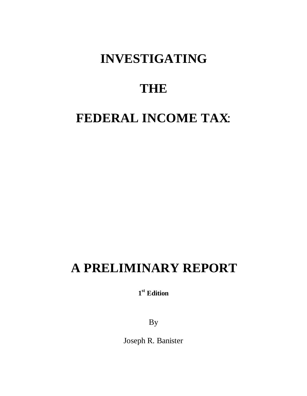# **INVESTIGATING**

# **THE**

# **FEDERAL INCOME TAX**:

# **A PRELIMINARY REPORT**

**1 st Edition**

By

Joseph R. Banister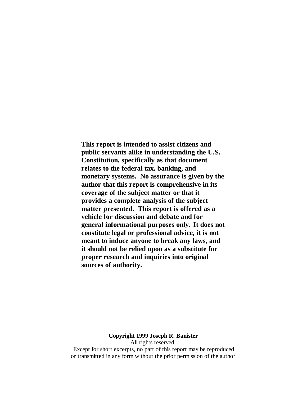**This report is intended to assist citizens and public servants alike in understanding the U.S. Constitution, specifically as that document relates to the federal tax, banking, and monetary systems. No assurance is given by the author that this report is comprehensive in its coverage of the subject matter or that it provides a complete analysis of the subject matter presented. This report is offered as a vehicle for discussion and debate and for general informational purposes only. It does not constitute legal or professional advice, it is not meant to induce anyone to break any laws, and it should not be relied upon as a substitute for proper research and inquiries into original sources of authority.**

# **Copyright 1999 Joseph R. Banister**

All rights reserved. Except for short excerpts, no part of this report may be reproduced or transmitted in any form without the prior permission of the author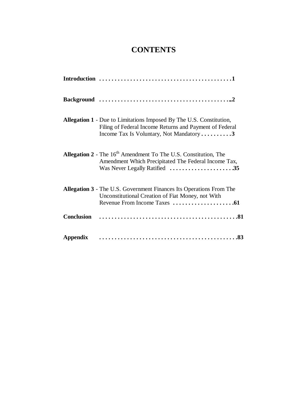# **CONTENTS**

|                   | <b>Allegation 1</b> - Due to Limitations Imposed By The U.S. Constitution,<br>Filing of Federal Income Returns and Payment of Federal<br>Income Tax Is Voluntary, Not Mandatory3 |
|-------------------|----------------------------------------------------------------------------------------------------------------------------------------------------------------------------------|
|                   | <b>Allegation 2</b> - The $16th$ Amendment To The U.S. Constitution, The<br>Amendment Which Precipitated The Federal Income Tax,<br>Was Never Legally Ratified  35               |
|                   | <b>Allegation 3</b> - The U.S. Government Finances Its Operations From The<br>Unconstitutional Creation of Fiat Money, not With                                                  |
| <b>Conclusion</b> |                                                                                                                                                                                  |
| <b>Appendix</b>   |                                                                                                                                                                                  |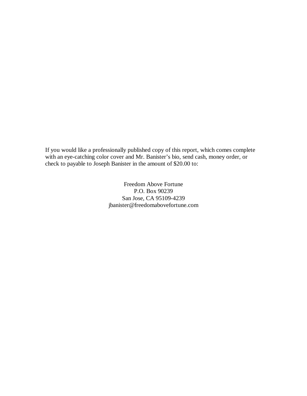If you would like a professionally published copy of this report, which comes complete with an eye-catching color cover and Mr. Banister's bio, send cash, money order, or check to payable to Joseph Banister in the amount of \$20.00 to:

> Freedom Above Fortune P.O. Box 90239 San Jose, CA 95109-4239 jbanister@freedomabovefortune.com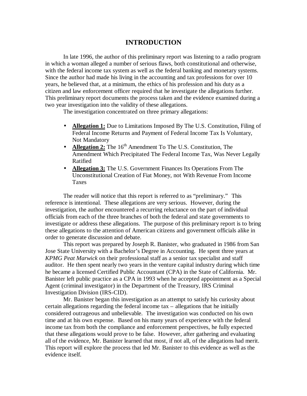# **INTRODUCTION**

In late 1996, the author of this preliminary report was listening to a radio program in which a woman alleged a number of serious flaws, both constitutional and otherwise, with the federal income tax system as well as the federal banking and monetary systems. Since the author had made his living in the accounting and tax professions for over 10 years, he believed that, at a minimum, the ethics of his profession and his duty as a citizen and law enforcement officer required that he investigate the allegations further. This preliminary report documents the process taken and the evidence examined during a two year investigation into the validity of these allegations.

The investigation concentrated on three primary allegations:

- **Allegation 1:** Due to Limitations Imposed By The U.S. Constitution, Filing of Federal Income Returns and Payment of Federal Income Tax Is Voluntary, Not Mandatory
- **Allegation 2:** The 16<sup>th</sup> Amendment To The U.S. Constitution, The Amendment Which Precipitated The Federal Income Tax, Was Never Legally Ratified
- **Allegation 3:** The U.S. Government Finances Its Operations From The Unconstitutional Creation of Fiat Money, not With Revenue From Income Taxes

The reader will notice that this report is referred to as "preliminary." This reference is intentional. These allegations are very serious. However, during the investigation, the author encountered a recurring reluctance on the part of individual officials from each of the three branches of both the federal and state governments to investigate or address these allegations. The purpose of this preliminary report is to bring these allegations to the attention of American citizens and government officials alike in order to generate discussion and debate.

This report was prepared by Joseph R. Banister, who graduated in 1986 from San Jose State University with a Bachelor's Degree in Accounting. He spent three years at *KPMG Peat Marwick* on their professional staff as a senior tax specialist and staff auditor. He then spent nearly two years in the venture capital industry during which time he became a licensed Certified Public Accountant (CPA) in the State of California. Mr. Banister left public practice as a CPA in 1993 when he accepted appointment as a Special Agent (criminal investigator) in the Department of the Treasury, IRS Criminal Investigation Division (IRS-CID).

Mr. Banister began this investigation as an attempt to satisfy his curiosity about certain allegations regarding the federal income tax – allegations that he initially considered outrageous and unbelievable. The investigation was conducted on his own time and at his own expense. Based on his many years of experience with the federal income tax from both the compliance and enforcement perspectives, he fully expected that these allegations would prove to be false. However, after gathering and evaluating all of the evidence, Mr. Banister learned that most, if not all, of the allegations had merit. This report will explore the process that led Mr. Banister to this evidence as well as the evidence itself.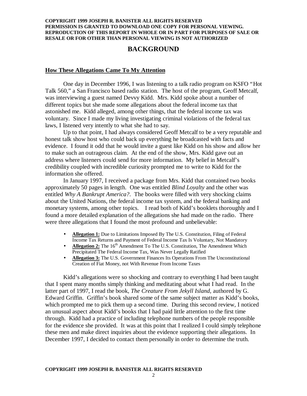# **BACKGROUND**

### **How These Allegations Came To My Attention**

One day in December 1996, I was listening to a talk radio program on KSFO "Hot Talk 560," a San Francisco based radio station. The host of the program, Geoff Metcalf, was interviewing a guest named Devvy Kidd. Mrs. Kidd spoke about a number of different topics but she made some allegations about the federal income tax that astonished me. Kidd alleged, among other things, that the federal income tax was voluntary. Since I made my living investigating criminal violations of the federal tax laws, I listened very intently to what she had to say.

Up to that point, I had always considered Geoff Metcalf to be a very reputable and honest talk show host who could back up everything he broadcasted with facts and evidence. I found it odd that he would invite a guest like Kidd on his show and allow her to make such an outrageous claim. At the end of the show, Mrs. Kidd gave out an address where listeners could send for more information. My belief in Metcalf's credibility coupled with incredible curiosity prompted me to write to Kidd for the information she offered.

In January 1997, I received a package from Mrs. Kidd that contained two books approximately 50 pages in length. One was entitled *Blind Loyalty* and the other was entitled *Why A Bankrupt America?*. The books were filled with very shocking claims about the United Nations, the federal income tax system, and the federal banking and monetary systems, among other topics. I read both of Kidd's booklets thoroughly and I found a more detailed explanation of the allegations she had made on the radio. There were three allegations that I found the most profound and unbelievable:

- **Allegation 1:** Due to Limitations Imposed By The U.S. Constitution, Filing of Federal Income Tax Returns and Payment of Federal Income Tax Is Voluntary, Not Mandatory
- **Allegation 2:** The 16<sup>th</sup> Amendment To The U.S. Constitution, The Amendment Which Precipitated The Federal Income Tax, Was Never Legally Ratified
- **Allegation 3:** The U.S. Government Finances Its Operations From The Unconstitutional Creation of Fiat Money, not With Revenue From Income Taxes

Kidd's allegations were so shocking and contrary to everything I had been taught that I spent many months simply thinking and meditating about what I had read. In the latter part of 1997, I read the book, *The Creature From Jekyll Island*, authored by G. Edward Griffin. Griffin's book shared some of the same subject matter as Kidd's books, which prompted me to pick them up a second time. During this second review, I noticed an unusual aspect about Kidd's books that I had paid little attention to the first time through. Kidd had a practice of including telephone numbers of the people responsible for the evidence she provided. It was at this point that I realized I could simply telephone these men and make direct inquiries about the evidence supporting their allegations. In December 1997, I decided to contact them personally in order to determine the truth.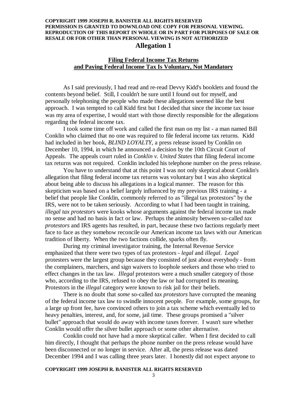# **Filing Federal Income Tax Returns and Paying Federal Income Tax Is Voluntary, Not Mandatory**

As I said previously, I had read and re-read Devvy Kidd's booklets and found the contents beyond belief. Still, I couldn't be sure until I found out for myself, and personally telephoning the people who made these allegations seemed like the best approach. I was tempted to call Kidd first but I decided that since the income tax issue was my area of expertise, I would start with those directly responsible for the allegations regarding the federal income tax.

I took some time off work and called the first man on my list - a man named Bill Conklin who claimed that no one was required to file federal income tax returns. Kidd had included in her book, *BLIND LOYALTY*, a press release issued by Conklin on December 10, 1994, in which he announced a decision by the 10th Circuit Court of Appeals. The appeals court ruled in *Conklin v. United States* that filing federal income tax returns was not required. Conklin included his telephone number on the press release.

You have to understand that at this point I was not only skeptical about Conklin's allegation that filing federal income tax returns was voluntary but I was also skeptical about being able to discuss his allegations in a logical manner. The reason for this skepticism was based on a belief largely influenced by my previous IRS training - a belief that people like Conklin, commonly referred to as "illegal tax protestors" by the IRS, were not to be taken seriously. According to what I had been taught in training, *illegal tax protestors* were kooks whose arguments against the federal income tax made no sense and had no basis in fact or law. Perhaps the animosity between so-called *tax protestors* and IRS agents has resulted, in part, because these two factions regularly meet face to face as they somehow reconcile our American income tax laws with our American tradition of liberty. When the two factions collide, sparks often fly.

During my criminal investigator training, the Internal Revenue Service emphasized that there were two types of tax protestors - *legal* and *illegal*. *Legal* protesters were the largest group because they consisted of just about everybody - from the complainers, marchers, and sign waivers to loophole seekers and those who tried to effect changes in the tax law. *Illegal* protestors were a much smaller category of those who, according to the IRS, refused to obey the law or had corrupted its meaning. Protestors in the *illegal* category were known to risk jail for their beliefs.

There is no doubt that *some* so-called *tax protestors* have corrupted the meaning of the federal income tax law to swindle innocent people. For example, some groups, for a large up front fee, have convinced others to join a tax scheme which eventually led to heavy penalties, interest, and, for some, jail time. These groups promised a "silver bullet" approach that would do away with income taxes forever. I wasn't sure whether Conklin would offer the silver bullet approach or some other alternative.

Conklin could not have had a more skeptical caller. When I first decided to call him directly, I thought that perhaps the phone number on the press release would have been disconnected or no longer in service. After all, the press release was dated December 1994 and I was calling three years later. I honestly did not expect anyone to

#### **COPYRIGHT 1999 JOSEPH R. BANISTER ALL RIGHTS RESERVED**

3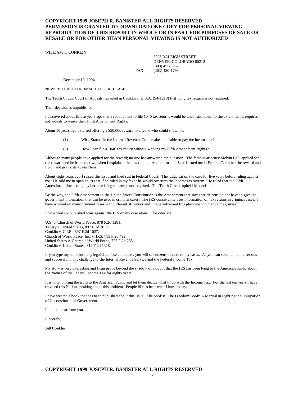WILLIAM T. CONKLIN

3296 RALEIGH STREET DENVER, COLORADO 80212 (303) 455-0837 FAX (303) 480-1799

December 10, 1994

NEWSRELEASE FOR IMMEDIATE RELEASE

The Tenth Circuit Court of Appeals has ruled in Conklin v. U.S.A. (94-1213) that filing tax returns is not required.

Their decision is unpublished.

I discovered about fifteen years ago that a requirement to file 1040 tax returns would be unconstitutional to the extent that it requires individuals to waive their Fifth Amendment Rights.

About 10 years ago I started offering a \$50,000 reward to anyone who could show me:

- (1) What Statute in the Internal Revenue Code makes me liable to pay the income tax?
- (2) How I can file a 1040 tax return without waiving my Fifth Amendment Rights?

Although many people have applied for the reward; no one has answered the question. The famous attorney Melvin Belli applied for the reward and he backed down when I explained the law to him. Another man in Seattle sued me in Federal Court for the reward and I won and got costs against him.

About eight years ago I raised this issue and filed suit in Federal Court. The judge sat on the case for five years before ruling against me. He told me in open court that if he ruled in my favor he would overturn the income tax system. He ruled that the Fifth Amendment does not apply because filing returns is not required. The Tenth Circuit upheld his decision.

By the way, the Fifth Amendment to the United States Constitution is the Amendment that says that citizens do not have to give the government information that can be used in criminal cases. The IRS consistently uses information on tax returns in criminal cases. I have worked on many criminal cases with different attorneys and I have witnessed this phenomenon many times, myself.

I have won six published wins against the IRS on my case alone. The cites are:

U.S. v. Church of World Peace, 878 F.2d 1281. Tavery v. United States, 897 F.2d 1032. Conklin v. C.I.R., 897 F.2d 1027. Church of World Peace, Inc. v. IRS, 715 F.2d 492. United States v. Church of World Peace, 775 F.2d 265. Conklin v. United States, 812 F.2d 1318.

If you type my name into any legal data base computer, you will see dozens of cites to my cases. As you can see, I am quite serious and successful in my challenge to the Internal Revenue Service and the Federal Income Tax.

My story is very interesting and I can prove beyond the shadow of a doubt that the IRS has been lying to the American public about the Nature of the Federal Income Tax for eighty years.

It is time to bring the truth to the American Public and let them decide what to do with the Income Tax. For the last ten years I have traveled this Nation speaking about this problem. People like to hear what I have to say.

I have written a book that has been published about this issue. The book is: The Freedom Book: A Manual in Fighting the Usurpation of Unconstitutional Government.

I hope to hear from you.

Sincerely,

Bill Conklin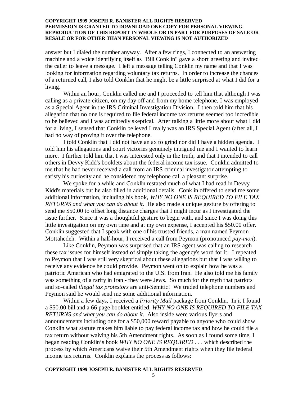answer but I dialed the number anyway. After a few rings, I connected to an answering machine and a voice identifying itself as "Bill Conklin" gave a short greeting and invited the caller to leave a message. I left a message telling Conklin my name and that I was looking for information regarding voluntary tax returns. In order to increase the chances of a returned call, I also told Conklin that he might be a little surprised at what I did for a living.

Within an hour, Conklin called me and I proceeded to tell him that although I was calling as a private citizen, on my day off and from my home telephone, I was employed as a Special Agent in the IRS Criminal Investigation Division. I then told him that his allegation that no one is required to file federal income tax returns seemed too incredible to be believed and I was admittedly skeptical. After talking a little more about what I did for a living, I sensed that Conklin believed I really was an IRS Special Agent (after all, I had no way of proving it over the telephone.

I told Conklin that I did not have an ax to grind nor did I have a hidden agenda. I told him his allegations and court victories genuinely intrigued me and I wanted to learn more. I further told him that I was interested only in the truth, and that I intended to call others in Devvy Kidd's booklets about the federal income tax issue. Conklin admitted to me that he had never received a call from an IRS criminal investigator attempting to satisfy his curiosity and he considered my telephone call a pleasant surprise.

We spoke for a while and Conklin restated much of what I had read in Devvy Kidd's materials but he also filled in additional details. Conklin offered to send me some additional information, including his book, *WHY NO ONE IS REQUIRED TO FILE TAX RETURNS and what you can do about it*. He also made a unique gesture by offering to send me \$50.00 to offset long distance charges that I might incur as I investigated the issue further. Since it was a thoughtful gesture to begin with, and since I was doing this little investigation on my own time and at my own expense, I accepted his \$50.00 offer. Conklin suggested that I speak with one of his trusted friends, a man named Peymon Mottahedeh. Within a half-hour, I received a call from Peymon (pronounced *pay-mon*).

Like Conklin, Peymon was surprised that an IRS agent was calling to research these tax issues for himself instead of simply taking the agency's word for it. I repeated to Peymon that I was still very skeptical about these allegations but that I was willing to receive any evidence he could provide. Peymon went on to explain how he was a patriotic American who had emigrated to the U.S. from Iran. He also told me his family was something of a rarity in Iran - they were Jews. So much for the myth that patriots and so-called *illegal tax protestors* are anti-Semitic! We traded telephone numbers and Peymon said he would send me some additional information.

Within a few days, I received a *Priority Mail* package from Conklin. In it I found a \$50.00 bill and a 66 page booklet entitled, *WHY NO ONE IS REQUIRED TO FILE TAX RETURNS and what you can do about it*. Also inside were various flyers and announcements including one for a \$50,000 reward payable to anyone who could show Conklin what statute makes him liable to pay federal income tax and how he could file a tax return without waiving his 5th Amendment rights. As soon as I found some time, I began reading Conklin's book *WHY NO ONE IS REQUIRED* . . . which described the process by which Americans waive their 5th Amendment rights when they file federal income tax returns. Conklin explains the process as follows: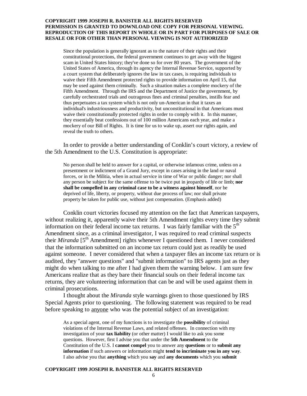Since the population is generally ignorant as to the nature of their rights and their constitutional protections, the federal government continues to get away with the biggest scam in United States history; they've done so for over 80 years. The government of the United States of America, through its agency the Internal Revenue Service, supported by a court system that deliberately ignores the law in tax cases, is requiring individuals to waive their Fifth Amendment protected rights to provide information on April 15, that may be used against them criminally. Such a situation makes a complete mockery of the Fifth Amendment. Through the IRS and the Department of Justice the government, by carefully orchestrated trials and outrageous fines and criminal penalties, instills fear and thus perpetuates a tax system which is not only un-American in that it taxes an individual's industriousness and productivity, but unconstitutional in that Americans must waive their constitutionally protected rights in order to comply with it. In this manner, they essentially beat confessions out of 100 million Americans each year, and make a mockery of our Bill of Rights. It is time for us to wake up, assert our rights again, and reveal the truth to others.

In order to provide a better understanding of Conklin's court victory, a review of the 5th Amendment to the U.S. Constitution is appropriate:

No person shall be held to answer for a capital, or otherwise infamous crime, unless on a presentment or indictment of a Grand Jury, except in cases arising in the land or naval forces, or in the Militia, when in actual service in time of War or public danger; nor shall any person be subject for the same offense to be twice put in jeopardy of life or limb; **nor shall be compelled in any criminal case to be a witness against himself**, nor be deprived of life, liberty, or property, without due process of law; nor shall private property be taken for public use, without just compensation. (Emphasis added)

Conklin court victories focused my attention on the fact that American taxpayers, without realizing it, apparently waive their 5th Amendment rights every time they submit information on their federal income tax returns. I was fairly familiar with the  $5<sup>th</sup>$ Amendment since, as a criminal investigator, I was required to read criminal suspects their *Miranda* [5<sup>th</sup> Amendment] rights whenever I questioned them. I never considered that the information submitted on an income tax return could just as readily be used against someone. I never considered that when a taxpayer files an income tax return or is audited, they "answer questions" and "submit information" to IRS agents just as they might do when talking to me after I had given them the warning below. I am sure few Americans realize that as they bare their financial souls on their federal income tax returns, they are volunteering information that can be and will be used against them in criminal prosecutions.

I thought about the *Miranda* style warnings given to those questioned by IRS Special Agents prior to questioning. The following statement was required to be read before speaking to anyone who was the potential subject of an investigation:

As a special agent, one of my functions is to investigate the **possibility** of criminal violations of the Internal Revenue Laws, and related offenses. In connection with my investigation of your **tax liability** (or other matter) I would like to ask you some questions. However, first I advise you that under the **5th Amendment** to the Constitution of the U.S. I **cannot compel** you to answer any **questions** or to **submit any information** if such answers or information might **tend to incriminate you in any way**. I also advise you that **anything** which you **say** and **any documents** which you **submit**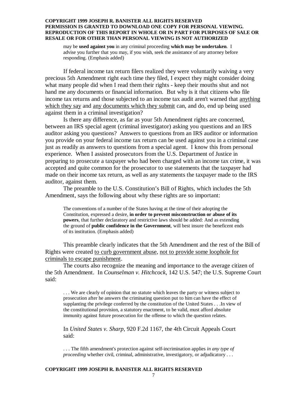may be **used against you** in any criminal proceeding **which may be undertaken**. I advise you further that you may, if you wish, seek the assistance of any attorney before responding. (Emphasis added)

If federal income tax return filers realized they were voluntarily waiving a very precious 5th Amendment right each time they filed, I expect they might consider doing what many people did when I read them their rights - keep their mouths shut and not hand me any documents or financial information. But why is it that citizens who file income tax returns and those subjected to an income tax audit aren't warned that anything which they say and any documents which they submit can, and do, end up being used against them in a criminal investigation?

Is there any difference, as far as your 5th Amendment rights are concerned, between an IRS special agent (criminal investigator) asking you questions and an IRS auditor asking you questions? Answers to questions from an IRS auditor or information you provide on your federal income tax return can be used against you in a criminal case just as readily as answers to questions from a special agent. I know this from personal experience. When I assisted prosecutors from the U.S. Department of Justice in preparing to prosecute a taxpayer who had been charged with an income tax crime, it was accepted and quite common for the prosecutor to use statements that the taxpayer had made on their income tax return, as well as any statements the taxpayer made to the IRS auditor, against them.

The preamble to the U.S. Constitution's Bill of Rights, which includes the 5th Amendment, says the following about why these rights are so important:

The conventions of a number of the States having at the time of their adopting the Constitution, expressed a desire, **in order to prevent misconstruction or abuse of its powers**, that further declaratory and restrictive laws should be added: And as extending the ground of **public confidence in the Government**, will best insure the beneficent ends of its institution. (Emphasis added)

This preamble clearly indicates that the 5th Amendment and the rest of the Bill of Rights were created to curb government abuse, not to provide some loophole for criminals to escape punishment.

The courts also recognize the meaning and importance to the average citizen of the 5th Amendment. In *Counselman v. Hitchcock*, 142 U.S. 547; the U.S. Supreme Court said:

. . . We are clearly of opinion that no statute which leaves the party or witness subject to prosecution after he answers the criminating question put to him can have the effect of supplanting the privilege conferred by the constitution of the United States . . .In view of the constitutional provision, a statutory enactment, to be valid, must afford absolute immunity against future prosecution for the offense to which the question relates.

In *United States v. Sharp*, 920 F.2d 1167, the 4th Circuit Appeals Court said:

. . . The fifth amendment's protection against self-incrimination applies *in any type of proceeding* whether civil, criminal, administrative, investigatory, or adjudicatory . . .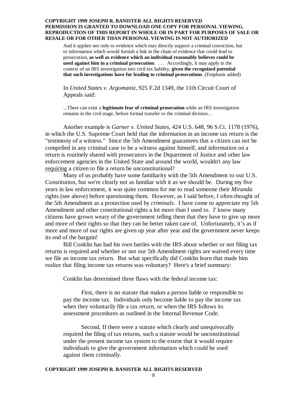And it applies not only to evidence which may directly support a criminal conviction, but to information which would furnish a link in the chain of evidence that could lead to prosecution, **as well as evidence which an individual reasonably believes could be used against him in a criminal prosecution**. . . . Accordingly, it may apply in the context of an IRS investigation into civil tax liability, **given the recognized potential that such investigations have for leading to criminal prosecutions**. (Emphasis added)

In *United States v. Argomaniz*, 925 F.2d 1349, the 11th Circuit Court of Appeals said:

...There can exist a **legitimate fear of criminal prosecution** while an IRS investigation remains in the civil stage, before formal transfer to the criminal division...

Another example is *Garner v. United States*, 424 U.S. 648, 96 S.Ct. 1178 (1976), in which the U.S. Supreme Court held that the information in an income tax return is the "testimony of a witness." Since the 5th Amendment guarantees that a citizen can not be compelled in any criminal case to be a witness against himself, and information on a return is routinely shared with prosecutors in the Department of Justice and other law enforcement agencies in the United State and around the world, wouldn't any law requiring a citizen to file a return be unconstitutional?

Many of us probably have some familiarity with the 5th Amendment to our U.S. Constitution, but we're clearly not as familiar with it as we should be. During my five years in law enforcement, it was quite common for me to read someone their *Miranda* rights (see above) before questioning them. However, as I said before, I often thought of the 5th Amendment as a protection used by *criminals*. I have come to appreciate my 5th Amendment and other constitutional rights a lot more than I used to. I' know many citizens have grown weary of the government telling them that they have to give up more and more of their rights so that they can be better taken care of. Unfortunately, it's as if more and more of our rights are given up year after year and the government never keeps its end of the bargain!

Bill Conklin has had his own battles with the IRS about whether or not filing tax returns is required and whether or not our 5th Amendment rights are waived every time we file an income tax return. But what specifically did Conklin learn that made him realize that filing income tax returns was voluntary? Here's a brief summary:

Conklin has determined three flaws with the federal income tax:

First, there is no statute that makes a person liable or responsible to pay the income tax. Individuals only become liable to pay the income tax when they voluntarily file a tax return, or when the IRS follows its assessment procedures as outlined in the Internal Revenue Code.

Second, If there were a statute which clearly and unequivocally required the filing of tax returns, such a statute would be unconstitutional under the present income tax system to the extent that it would require individuals to give the government information which could be used against them criminally.

#### **COPYRIGHT 1999 JOSEPH R. BANISTER ALL RIGHTS RESERVED**

8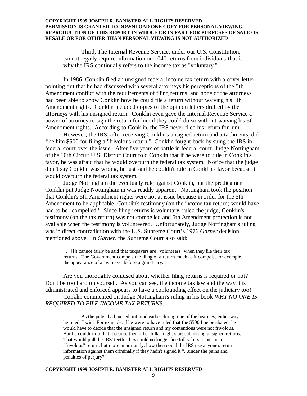Third, The Internal Revenue Service, under our U.S. Constitution, cannot legally require information on 1040 returns from individuals-that is why the IRS continually refers to the income tax as "voluntary."

In 1986, Conklin filed an unsigned federal income tax return with a cover letter pointing out that he had discussed with several attorneys his perceptions of the 5th Amendment conflict with the requirements of filing returns, and none of the attorneys had been able to show Conklin how he could file a return without waiving his 5th Amendment rights. Conklin included copies of the opinion letters drafted by the attorneys with his unsigned return. Conklin even gave the Internal Revenue Service a power of attorney to sign the return for him if they could do so without waiving his 5th Amendment rights. According to Conklin, the IRS never filed his return for him.

However, the IRS, after receiving Conklin's unsigned return and attachments, did fine him \$500 for filing a "frivolous return." Conklin fought back by suing the IRS in federal court over the issue. After five years of battle in federal court, Judge Nottingham of the 10th Circuit U.S. District Court told Conklin that if he were to rule in Conklin's favor, he was afraid that he would overturn the federal tax system. Notice that the judge didn't say Conklin was wrong, he just said he couldn't rule in Conklin's favor because it would overturn the federal tax system.

Judge Nottingham did eventually rule against Conklin, but the predicament Conklin put Judge Nottingham in was readily apparent. Nottingham took the position that Conklin's 5th Amendment rights were not at issue because in order for the 5th Amendment to be applicable, Conklin's testimony (on the income tax return) would have had to be "compelled." Since filing returns is voluntary, ruled the judge, Conklin's testimony (on the tax return) was not compelled and 5th Amendment protection is not available when the testimony is volunteered. Unfortunately, Judge Nottingham's ruling was in direct contradiction with the U.S. Supreme Court's 1976 *Garner* decision mentioned above. In *Garner*, the Supreme Court also said:

. . . [I]t cannot fairly be said that taxpayers are "volunteers" when they file their tax returns. The Government compels the filing of a return much as it compels, for example, the appearance of a "witness" before a grand jury...

Are you thoroughly confused about whether filing returns is required or not? Don't be too hard on yourself. As you can see, the income tax law and the way it is administrated and enforced appears to have a confounding effect on the judiciary too! Conklin commented on Judge Nottingham's ruling in his book *WHY NO ONE IS REQUIRED TO FILE INCOME TAX RETURNS*:

As the judge had mused out loud earlier during one of the hearings, either way he ruled, I win! For example, if he were to have ruled that the \$500 fine be abated, he would have to decide that the unsigned return and my contentions were not frivolous. But he couldn't do that, because then other folks might start submitting unsigned returns. That would pull the IRS' teeth--they could no longer fine folks for submitting a "frivolous" return, but more importantly, how then could the IRS use anyone's return information against them criminally if they hadn't signed it "...under the pains and penalties of perjury?"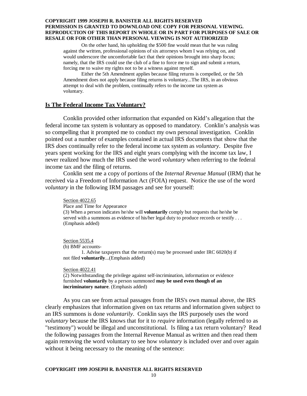On the other hand, his upholding the \$500 fine would mean that he was ruling against the written, professional opinions of six attorneys whom I was relying on, and would underscore the uncomfortable fact that their opinions brought into sharp focus; namely, that the IRS could use the club of a fine to force me to sign and submit a return, forcing me to waive my rights not to be a witness against myself.

Either the 5th Amendment applies because filing returns is compelled, or the 5th Amendment does not apply because filing returns is voluntary...The IRS, in an obvious attempt to deal with the problem, continually refers to the income tax system as voluntary.

## **Is The Federal Income Tax Voluntary?**

 Conklin provided other information that expanded on Kidd's allegation that the federal income tax system is voluntary as opposed to mandatory. Conklin's analysis was so compelling that it prompted me to conduct my own personal investigation. Conklin pointed out a number of examples contained in actual IRS documents that show that the IRS *does* continually refer to the federal income tax system as *voluntary*. Despite five years spent working for the IRS and eight years complying with the income tax law, I never realized how much the IRS used the word *voluntary* when referring to the federal income tax and the filing of returns.

Conklin sent me a copy of portions of the *Internal Revenue Manual* (IRM) that he received via a Freedom of Information Act (FOIA) request. Notice the use of the word *voluntary* in the following IRM passages and see for yourself:

#### Section 4022.65

Place and Time for Appearance

(3) When a person indicates he/she will **voluntarily** comply but requests that he/she be served with a summons as evidence of his/her legal duty to produce records or testify . . . (Emphasis added)

#### Section 5535.4

(b) BMF accounts-

1. Advise taxpayers that the return(s) may be processed under IRC 6020(b) if not filed **voluntarily**...(Emphasis added)

#### Section 4022.41

(2) Notwithstanding the privilege against self-incrimination, information or evidence furnished **voluntarily** by a person summoned **may be used even though of an incriminatory nature**. (Emphasis added)

As you can see from actual passages from the IRS's own manual above, the IRS clearly emphasizes that information given on tax returns and information given subject to an IRS summons is done *voluntarily*. Conklin says the IRS purposely uses the word *voluntary* because the IRS knows that for it to *require* information (legally referred to as "testimony") would be illegal and unconstitutional. Is filing a tax return voluntary? Read the following passages from the Internal Revenue Manual as written and then read them again removing the word voluntary to see how *voluntary* is included over and over again without it being necessary to the meaning of the sentence: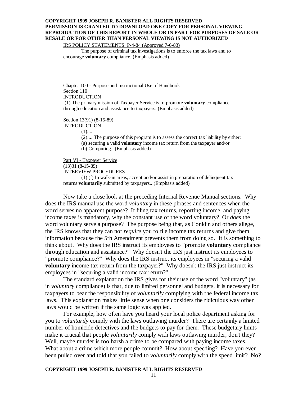IRS POLICY STATEMENTS: P-4-84 (Approved 7-6-83)

The purpose of criminal tax investigations is to enforce the tax laws and to encourage **voluntary** compliance. (Emphasis added)

Chapter 100 - Purpose and Instructional Use of Handbook Section 110 INTRODUCTION (1) The primary mission of Taxpayer Service is to promote **voluntary** compliance through education and assistance to taxpayers. (Emphasis added)

Section 13(91) (8-15-89) INTRODUCTION

 $(1)$ ....

(2).... The purpose of this program is to assess the correct tax liability by either: (a) securing a valid **voluntary** income tax return from the taxpayer and/or (b) Computing...(Emphasis added)

Part VI - Taxpayer Service (13)31 (8-15-89)

INTERVIEW PROCEDURES

(1) (f) In walk-in areas, accept and/or assist in preparation of delinquent tax returns **voluntarily** submitted by taxpayers...(Emphasis added)

Now take a close look at the preceding Internal Revenue Manual sections. Why does the IRS manual use the word *voluntary* in these phrases and sentences when the word serves no apparent purpose? If filing tax returns, reporting income, and paying income taxes is mandatory, why the constant use of the word voluntary? Or *does* the word voluntary serve a purpose? The purpose being that, as Conklin and others allege, the IRS knows that they can not *require* you to file income tax returns and give them information because the 5th Amendment prevents them from doing so. It is something to think about. Why does the IRS instruct its employees to "promote **voluntary** compliance through education and assistance?" Why doesn't the IRS just instruct its employees to "promote compliance?" Why does the IRS instruct its employees in "securing a valid **voluntary** income tax return from the taxpayer?" Why doesn't the IRS just instruct its employees in "securing a valid income tax return?"

The standard explanation the IRS gives for their use of the word "voluntary" (as in *voluntary* compliance) is that, due to limited personnel and budgets, it is necessary for taxpayers to bear the responsibility of *voluntarily* complying with the federal income tax laws. This explanation makes little sense when one considers the ridiculous way other laws would be written if the same logic was applied.

For example, how often have you heard your local police department asking for you to *voluntarily* comply with the laws outlawing murder? There are certainly a limited number of homicide detectives and the budgets to pay for them. These budgetary limits make it crucial that people *voluntarily* comply with laws outlawing murder, don't they? Well, maybe murder is too harsh a crime to be compared with paying income taxes. What about a crime which more people commit? How about speeding? Have you ever been pulled over and told that you failed to *voluntarily* comply with the speed limit? No?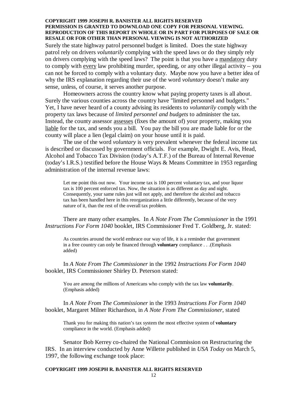Surely the state highway patrol personnel budget is limited. Does the state highway patrol rely on drivers *voluntarily* complying with the speed laws or do they simply rely on drivers complying with the speed laws? The point is that you have a mandatory duty to comply with every law prohibiting murder, speeding, or any other illegal activity – you can not be forced to comply with a voluntary duty. Maybe now you have a better idea of why the IRS explanation regarding their use of the word *voluntary* doesn't make any sense, unless, of course, it serves another purpose.

Homeowners across the country know what paying property taxes is all about. Surely the various counties across the country have "limited personnel and budgets." Yet, I have never heard of a county advising its residents to *voluntarily* comply with the property tax laws because of *limited personnel and budgets* to administer the tax. Instead, the county assessor assesses (fixes the amount of) your property, making you liable for the tax, and sends you a bill. You pay the bill you are made liable for or the county will place a lien (legal claim) on your house until it is paid.

The use of the word *voluntary* is very prevalent whenever the federal income tax is described or discussed by government officials. For example, Dwight E. Avis, Head, Alcohol and Tobacco Tax Division (today's A.T.F.) of the Bureau of Internal Revenue (today's I.R.S.) testified before the House Ways & Means Committee in 1953 regarding administration of the internal revenue laws:

Let me point this out now. Your income tax is 100 percent voluntary tax, and your liquor tax is 100 percent enforced tax. Now, the situation is as different as day and night. Consequently, your same rules just will not apply, and therefore the alcohol and tobacco tax has been handled here in this reorganization a little differently, because of the very nature of it, than the rest of the overall tax problem.

There are many other examples. In *A Note From The Commissioner* in the 1991 *Instructions For Form 1040* booklet, IRS Commissioner Fred T. Goldberg, Jr. stated:

As countries around the world embrace our way of life, it is a reminder that government in a free country can only be financed through **voluntary** compliance . . .(Emphasis added)

In *A Note From The Commissioner* in the 1992 *Instructions For Form 1040* booklet, IRS Commissioner Shirley D. Peterson stated:

You are among the millions of Americans who comply with the tax law **voluntarily**. (Emphasis added)

In *A Note From The Commissioner* in the 1993 *Instructions For Form 1040* booklet, Margaret Milner Richardson, in *A Note From The Commissioner*, stated

Thank you for making this nation's tax system the most effective system of **voluntary** compliance in the world. (Emphasis added)

Senator Bob Kerrey co-chaired the National Commission on Restructuring the IRS. In an interview conducted by Anne Willette published in *USA Today* on March 5, 1997, the following exchange took place: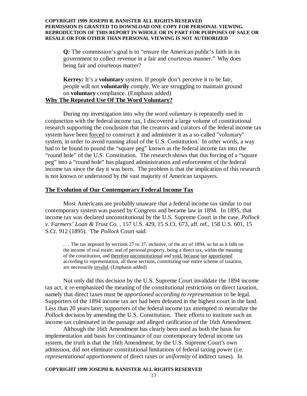**Q:** The commission's goal is to "ensure the American public's faith in its government to collect revenue in a fair and courteous manner." Why does being fair and courteous matter?

**Kerrey:** It's a **voluntary** system. If people don't perceive it to be fair, people will not **voluntarily** comply. We are struggling to maintain ground on **voluntary** compliance. (Emphasis added) **Why The Repeated Use Of The Word Voluntary?**

During my investigation into why the word *voluntary* is repeatedly used in conjunction with the federal income tax, I discovered a large volume of constitutional research supporting the conclusion that the creators and curators of the federal income tax system have been forced to construct it and administer it as a so-called "voluntary" system, in order to avoid running afoul of the U.S. Constitution. In other words, a way had to be found to pound the "square peg" known as the federal income tax into the "round hole" of the U.S. Constitution. The research shows that this forcing of a "square peg" into a "round hole" has plagued administration and enforcement of the federal income tax since the day it was born. The problem is that the implication of this research is not known or understood by the vast majority of American taxpayers.

# **The Evolution of Our Contemporary Federal Income Tax**

Most Americans are probably unaware that a federal income tax similar to our contemporary system was passed by Congress and became law in 1894. In 1895, that income tax was declared unconstitutional by the U.S. Supreme Court in the case, *Pollock v. Farmers' Loan & Trust Co.* , 157 U.S. 429, 15 S.Ct. 673, aff. ref., 158 U.S. 601, 15 S.Ct. 912 (1895). The *Pollock* Court said:

. . . The tax imposed by sections 27 to 37, inclusive, of the act of 1894, so far as it falls on the income of real estate, and of personal property, being a direct tax, within the meaning of the constitution, and therefore unconstitutional and void, because not apportioned according to representation, all those sections, constituting one entire scheme of taxation, are necessarily invalid. (Emphasis added)

Not only did this decision by the U.S. Supreme Court invalidate the 1894 income tax act, it re-emphasized the meaning of the constitutional restrictions on direct taxation, namely that direct taxes must be *apportioned according to representation* to be legal. Supporters of the 1894 income tax act had been defeated in the highest court in the land. Less than 20 years later, supporters of the federal income tax attempted to neutralize the *Pollock* decision by amending the U.S. Constitution. Their efforts to institute such an income tax culminated in the passage and alleged ratification of the 16th Amendment.

Although the 16th Amendment has clearly been used as both the basis for implementation and basis for continuance of our contemporary federal income tax system, the truth is that the 16th Amendment, by the U.S. Supreme Court's own admission, did not eliminate constitutional limitations of federal taxing power (i.e. *representational apportionment* of direct taxes or *uniformity* of indirect taxes). In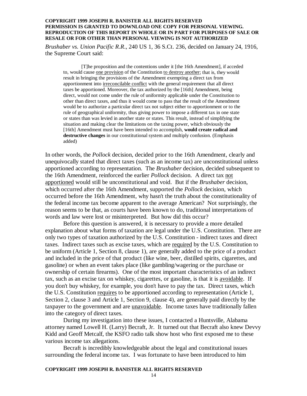*Brushaber vs. Union Pacific R*.*R*., 240 US 1, 36 S.Ct. 236, decided on January 24, 1916, the Supreme Court said:

 [T]he proposition and the contentions under it [the 16th Amendment], if acceded to, would cause one provision of the Constitution to destroy another; that is, they would result in bringing the provisions of the Amendment exempting a direct tax from apportionment into irreconcilable conflict with the general requirement that all direct taxes be apportioned. Moreover, the tax authorized by the [16th] Amendment, being direct, would not come under the rule of uniformity applicable under the Constitution to other than direct taxes, and thus it would come to pass that the result of the Amendment would be to authorize a particular direct tax not subject either to apportionment or to the rule of geographical uniformity, thus giving power to impose a different tax in one state or states than was levied in another state or states. This result, instead of simplifying the situation and making clear the limitations on the taxing power, which obviously the [16th] Amendment must have been intended to accomplish, **would create radical and destructive changes** in our constitutional system and multiply confusion. (Emphasis added)

In other words, the *Pollock* decision, decided prior to the 16th Amendment, clearly and unequivocally stated that direct taxes (such as an income tax) are unconstitutional unless apportioned according to representation. The *Brushaber* decision, decided subsequent to the 16th Amendment, reinforced the earlier *Pollock* decision. A direct tax not apportioned would still be unconstitutional and void. But if the *Brushaber* decision, which occurred after the 16th Amendment, supported the *Pollock* decision, which occurred before the 16th Amendment, why hasn't the truth about the constitutionality of the federal income tax become apparent to the average American? Not surprisingly, the reason seems to be that, as courts have been known to do, traditional interpretations of words and law were lost or misinterpreted. But how did this occur?

Before this question is answered, it is necessary to provide a more detailed explanation about what forms of taxation are legal under the U.S. Constitution. There are only two types of taxation authorized by the U.S. Constitution - indirect taxes and direct taxes. Indirect taxes such as excise taxes, which are required by the U.S. Constitution to be uniform (Article 1, Section 8, clause 1), are generally added to the price of a product and included in the price of that product (like wine, beer, distilled spirits, cigarettes, and gasoline) or when an event takes place (like gambling/wagering or the purchase or ownership of certain firearms). One of the most important characteristics of an indirect tax, such as an excise tax on whiskey, cigarettes, or gasoline, is that it is avoidable. If you don't buy whiskey, for example, you don't have to pay the tax. Direct taxes, which the U.S. Constitution requires to be apportioned according to representation (Article 1, Section 2, clause 3 and Article 1, Section 9, clause 4), are generally paid directly by the taxpayer to the government and are unavoidable. Income taxes have traditionally fallen into the category of direct taxes.

During my investigation into these issues, I contacted a Huntsville, Alabama attorney named Lowell H. (Larry) Becraft, Jr. It turned out that Becraft also knew Devvy Kidd and Geoff Metcalf, the KSFO radio talk show host who first exposed me to these various income tax allegations.

Becraft is incredibly knowledgeable about the legal and constitutional issues surrounding the federal income tax. I was fortunate to have been introduced to him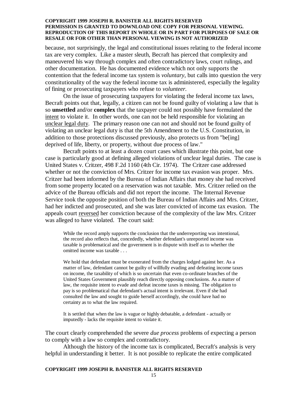because, not surprisingly, the legal and constitutional issues relating to the federal income tax are very complex. Like a master sleuth, Becraft has pierced that complexity and maneuvered his way through complex and often contradictory laws, court rulings, and other documentation. He has documented evidence which not only supports the contention that the federal income tax system is *voluntary*, but calls into question the very constitutionality of the way the federal income tax is administered, especially the legality of fining or prosecuting taxpayers who refuse to *volunteer.*

On the issue of prosecuting taxpayers for violating the federal income tax laws, Becraft points out that, legally, a citizen can not be found guilty of violating a law that is so **unsettled** and/or **complex** that the taxpayer could not possibly have formulated the intent to violate it. In other words, one can not be held responsible for violating an unclear legal duty. The primary reason one can not and should not be found guilty of violating an unclear legal duty is that the 5th Amendment to the U.S. Constitution, in addition to those protections discussed previously, also protects us from "be[ing] deprived of life, liberty, or property, without due process of law."

Becraft points to at least a dozen court cases which illustrate this point, but one case is particularly good at defining alleged violations of unclear legal duties. The case is United States v. Critzer, 498 F.2d 1160 (4th Cir. 1974). The Critzer case addressed whether or not the conviction of Mrs. Critzer for income tax evasion was proper. Mrs. Critzer had been informed by the Bureau of Indian Affairs that money she had received from some property located on a reservation was not taxable. Mrs. Critzer relied on the advice of the Bureau officials and did not report the income. The Internal Revenue Service took the opposite position of both the Bureau of Indian Affairs and Mrs. Critzer, had her indicted and prosecuted, and she was later convicted of income tax evasion. The appeals court reversed her conviction because of the complexity of the law Mrs. Critzer was alleged to have violated. The court said:

While the record amply supports the conclusion that the underreporting was intentional, the record also reflects that, concededly, whether defendant's unreported income was taxable is problematical and the government is in dispute with itself as to whether the omitted income was taxable . . .

We hold that defendant must be exonerated from the charges lodged against her. As a matter of law, defendant cannot be guilty of willfully evading and defeating income taxes on income, the taxability of which is so uncertain that even co-ordinate branches of the United States Government plausibly reach directly opposing conclusions. As a matter of law, the requisite intent to evade and defeat income taxes is missing. The obligation to pay is so problematical that defendant's actual intent is irrelevant. Even if she had consulted the law and sought to guide herself accordingly, she could have had no certainty as to what the law required.

It is settled that when the law is vague or highly debatable, a defendant - actually or imputedly - lacks the requisite intent to violate it.

The court clearly comprehended the severe *due process* problems of expecting a person to comply with a law so complex and contradictory.

Although the history of the income tax is complicated, Becraft's analysis is very helpful in understanding it better. It is not possible to replicate the entire complicated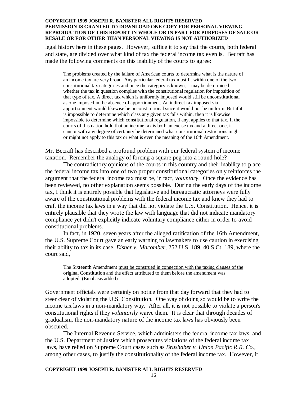legal history here in these pages. However, suffice it to say that the courts, both federal and state, are divided over what kind of tax the federal income tax even is. Becraft has made the following comments on this inability of the courts to agree:

The problems created by the failure of American courts to determine what is the nature of an income tax are very broad. Any particular federal tax must fit within one of the two constitutional tax categories and once the category is known, it may be determined whether the tax in question complies with the constitutional regulation for imposition of that type of tax. A direct tax which is uniformly imposed would still be unconstitutional as one imposed in the absence of apportionment. An indirect tax imposed via apportionment would likewise be unconstitutional since it would not be uniform. But if it is impossible to determine which class any given tax falls within, then it is likewise impossible to determine which constitutional regulation, if any, applies to that tax. If the courts of this nation hold that an income tax is both an excise tax and a direct one, it cannot with any degree of certainty be determined what constitutional restrictions might or might not apply to this tax or what is even the meaning of the 16th Amendment.

Mr. Becraft has described a profound problem with our federal system of income taxation. Remember the analogy of forcing a square peg into a round hole?

The contradictory opinions of the courts in this country and their inability to place the federal income tax into one of two proper constitutional categories only reinforces the argument that the federal income tax must be, in fact, *voluntary*. Once the evidence has been reviewed, no other explanation seems possible. During the early days of the income tax, I think it is entirely possible that legislative and bureaucratic attorneys were fully aware of the constitutional problems with the federal income tax and knew they had to craft the income tax laws in a way that did not violate the U.S. Constitution. Hence, it is entirely plausible that they wrote the law with language that did not indicate mandatory compliance yet didn't explicitly indicate voluntary compliance either in order to avoid constitutional problems.

In fact, in 1920, seven years after the alleged ratification of the 16th Amendment, the U.S. Supreme Court gave an early warning to lawmakers to use caution in exercising their ability to tax in its case, *Eisner v. Macomber*, 252 U.S. 189, 40 S.Ct. 189, where the court said,

The Sixteenth Amendment must be construed in connection with the taxing clauses of the original Constitution and the effect attributed to them before the amendment was adopted. (Emphasis added)

Government officials were certainly on notice from that day forward that they had to steer clear of violating the U.S. Constitution. One way of doing so would be to write the income tax laws in a non-mandatory way. After all, it is not possible to violate a person's constitutional rights if they *voluntarily* waive them. It is clear that through decades of gradualism, the non-mandatory nature of the income tax laws has obviously been obscured.

The Internal Revenue Service, which administers the federal income tax laws, and the U.S. Department of Justice which prosecutes violations of the federal income tax laws, have relied on Supreme Court cases such as *Brushaber v. Union Pacific R.R. Co.,* among other cases, to justify the constitutionality of the federal income tax. However, it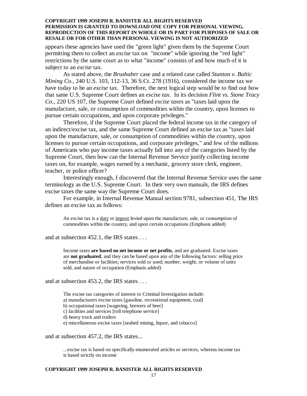appears these agencies have used the "green light" given them by the Supreme Court permitting them to collect an *excise* tax on "income" while ignoring the "red light" restrictions by the same court as to what "income" consists of and how much of it is subject to an *excise* tax.

As stated above, the *Brushaber* case and a related case called *Stanton v. Baltic Mining Co.*, 240 U.S. 103, 112-13, 36 S.Ct. 278 (1916), considered the income tax we have today to be an *excise* tax. Therefore, the next logical step would be to find out how that same U.S. Supreme Court defines an *excise tax*. In its decision *Flint vs. Stone Tracy Co*., 220 US 107, the Supreme Court defined *excise taxes* as "taxes laid upon the manufacture, sale, or consumption of commodities within the country, upon licenses to pursue certain occupations, and upon corporate privileges."

Therefore, if the Supreme Court placed the federal income tax in the category of an indirect/excise tax, and the same Supreme Court defined an excise tax as "taxes laid upon the manufacture, sale, or consumption of commodities within the country, upon licenses to pursue certain occupations, and corporate privileges," and few of the millions of Americans who pay income taxes actually fall into any of the categories listed by the Supreme Court, then how can the Internal Revenue Service justify collecting income taxes on, for example, wages earned by a mechanic, grocery store clerk, engineer, teacher, or police officer?

Interestingly enough, I discovered that the Internal Revenue Service uses the same terminology as the U.S. Supreme Court. In their very own manuals, the IRS defines excise taxes the same way the Supreme Court does.

For example, in Internal Revenue Manual section 9781, subsection 451, The IRS defines an excise tax as follows:

An excise tax is a duty or impost levied upon the manufacture, sale, or consumption of commodities within the country, and upon certain occupations (Emphasis added)

and at subsection 452.1, the IRS states . . .

Income taxes **are based on net income or net profits**, and are graduated. Excise taxes are **not graduated**, and they can be based upon any of the following factors: selling price of merchandise or facilities; services sold or used; number, weight, or volume of units sold, and nature of occupation (Emphasis added)

and at subsection 453.2, the IRS states . . .

The excise tax categories of interest to Criminal Investigation include:

a) manufacturers excise taxes [gasoline, recreational equipment, coal]

b) occupational taxes [wagering, brewers of beer]

c) facilities and services [toll telephone service]

d) heavy truck and trailers

e) miscellaneous excise taxes [seabed mining, liquor, and tobacco]

and at subsection 457.2, the IRS states...

...excise tax is based on specifically enumerated articles or services, whereas income tax is based strictly on income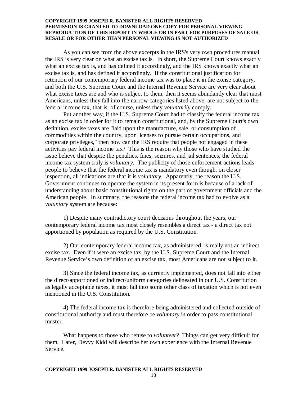As you can see from the above excerpts in the IRS's very own procedures manual, the IRS is very clear on what an excise tax is. In short, the Supreme Court knows exactly what an excise tax is, and has defined it accordingly, and the IRS knows exactly what an excise tax is, and has defined it accordingly. If the constitutional justification for retention of our contemporary federal income tax was to place it in the excise category, and both the U.S. Supreme Court and the Internal Revenue Service are very clear about what excise taxes are and who is subject to them, then it seems abundantly clear that most Americans, unless they fall into the narrow categories listed above, are not subject to the federal income tax, that is, of course, unless they *voluntarily* comply.

Put another way, if the U.S. Supreme Court had to classify the federal income tax as an excise tax in order for it to remain constitutional, and, by the Supreme Court's own definition, excise taxes are "laid upon the manufacture, sale, or consumption of commodities within the country, upon licenses to pursue certain occupations, and corporate privileges," then how can the IRS require that people not engaged in these activities pay federal income tax? This is the reason why those who have studied the issue believe that despite the penalties, fines, seizures, and jail sentences, the federal income tax system truly is *voluntary*. The publicity of those enforcement actions leads people to believe that the federal income tax is mandatory even though, on closer inspection, all indications are that it is *voluntary*. Apparently, the reason the U.S. Government continues to operate the system in its present form is because of a lack of understanding about basic constitutional rights on the part of government officials and the American people. In summary, the reasons the federal income tax had to evolve as a *voluntary* system are because:

1) Despite many contradictory court decisions throughout the years, our contemporary federal income tax most closely resembles a direct tax - a direct tax not apportioned by population as required by the U.S. Constitution.

2) Our contemporary federal income tax, as administered, is really not an indirect excise tax. Even if it were an excise tax, by the U.S. Supreme Court and the Internal Revenue Service's own definition of an excise tax, most Americans are not subject to it.

3) Since the federal income tax, as currently implemented, does not fall into either the direct/apportioned or indirect/uniform categories delineated in our U.S. Constitution as legally acceptable taxes, it must fall into some other class of taxation which is not even mentioned in the U.S. Constitution.

4) The federal income tax is therefore being administered and collected outside of constitutional authority and must therefore be *voluntary* in order to pass constitutional muster.

What happens to those who refuse to *volunteer*? Things can get very difficult for them. Later, Devvy Kidd will describe her own experience with the Internal Revenue Service.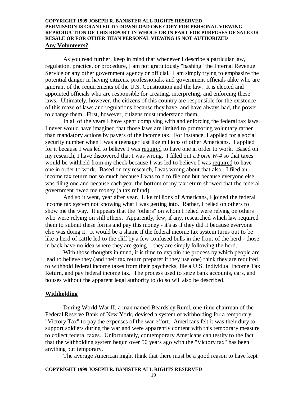As you read further, keep in mind that whenever I describe a particular law, regulation, practice, or procedure, I am not gratuitously "bashing" the Internal Revenue Service or any other government agency or official. I am simply trying to emphasize the potential danger in having citizens, professionals, and government officials alike who are ignorant of the requirements of the U.S. Constitution and the law. It is elected and appointed officials who are responsible for creating, interpreting, and enforcing these laws. Ultimately, however, the citizens of this country are responsible for the existence of this maze of laws and regulations because they have, and have always had, the power to change them. First, however, citizens must understand them.

In all of the years I have spent complying with and enforcing the federal tax laws, I never would have imagined that those laws are limited to promoting voluntary rather than mandatory actions by payers of the income tax. For instance, I applied for a social security number when I was a teenager just like millions of other Americans. I applied for it because I was led to believe I was required to have one in order to work. Based on my research, I have discovered that I was wrong. I filled out a *Form W-4* so that taxes would be withheld from my check because I was led to believe I was required to have one in order to work. Based on my research, I was wrong about that also. I filed an income tax return not so much because I was told to file one but because everyone else was filing one and because each year the bottom of my tax return showed that the federal government owed me money (a tax refund).

And so it went, year after year. Like millions of Americans, I joined the federal income tax system not knowing what I was getting into. Rather, I relied on others to show me the way. It appears that the "others" on whom I relied were relying on others who were relying on still others. Apparently, few, if any, researched which law required them to submit these forms and pay this money - it's as if they did it because everyone else was doing it. It would be a shame if the federal income tax system turns out to be like a herd of cattle led to the cliff by a few confused bulls in the front of the herd - those in back have no idea where they are going – they are simply following the herd.

With those thoughts in mind, it is time to explain the process by which people are lead to believe they (and their tax return preparer if they use one) think they are required to withhold federal income taxes from their paychecks, file a U.S. Individual Income Tax Return, and pay federal income tax. The process used to seize bank accounts, cars, and houses without the apparent legal authority to do so will also be described.

#### **Withholding**

During World War II, a man named Beardsley Ruml, one-time chairman of the Federal Reserve Bank of New York, devised a system of withholding for a temporary "Victory Tax" to pay the expenses of the war effort. Americans felt it was their duty to support soldiers during the war and were apparently content with this temporary measure to collect federal taxes. Unfortunately, contemporary Americans can testify to the fact that the withholding system begun over 50 years ago with the "Victory tax" has been anything but temporary.

The average American might think that there must be a good reason to have kept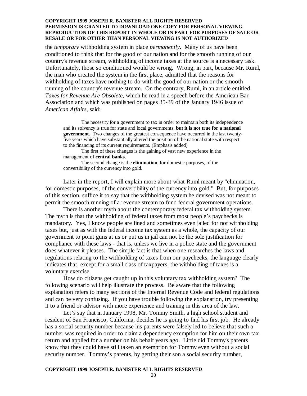the *temporary* withholding system in place *permanently*. Many of us have been conditioned to think that for the good of our nation and for the smooth running of our country's revenue stream, withholding of income taxes at the source is a necessary task. Unfortunately, those so conditioned would be wrong. Wrong, in part, because Mr. Ruml, the man who created the system in the first place, admitted that the reasons for withholding of taxes have nothing to do with the good of our nation or the smooth running of the country's revenue stream. On the contrary, Ruml, in an article entitled *Taxes for Revenue Are Obsolete*, which he read in a speech before the American Bar Association and which was published on pages 35-39 of the January 1946 issue of *American Affairs*, said:

The necessity for a government to tax in order to maintain both its independence and its solvency is true for state and local governments, **but it is not true for a national government**. Two changes of the greatest consequence have occurred in the last twentyfive years which have substantially altered the position of the national state with respect to the financing of its current requirements. (Emphasis added)

The first of these changes is the gaining of vast new experience in the management of **central banks**.

The second change is the **elimination**, for domestic purposes, of the convertibility of the currency into gold.

Later in the report, I will explain more about what Ruml meant by "elimination, for domestic purposes, of the convertibility of the currency into gold." But, for purposes of this section, suffice it to say that the withholding system he devised was not meant to permit the smooth running of a revenue stream to fund federal government operations.

There is another myth about the contemporary federal tax withholding system. The myth is that the withholding of federal taxes from most people's paychecks is mandatory. Yes, I know people are fined and sometimes even jailed for not withholding taxes but, just as with the federal income tax system as a whole, the capacity of our government to point guns at us or put us in jail can not be the sole justification for compliance with these laws - that is, unless we live in a police state and the government does whatever it pleases. The simple fact is that when one researches the laws and regulations relating to the withholding of taxes from our paychecks, the language clearly indicates that, except for a small class of taxpayers, the withholding of taxes is a voluntary exercise.

How do citizens get caught up in this voluntary tax withholding system? The following scenario will help illustrate the process. Be aware that the following explanation refers to many sections of the Internal Revenue Code and federal regulations and can be very confusing. If you have trouble following the explanation, try presenting it to a friend or advisor with more experience and training in this area of the law.

Let's say that in January 1998, Mr. Tommy Smith, a high school student and resident of San Francisco, California, decides he is going to find his first job. He already has a social security number because his parents were falsely led to believe that such a number was required in order to claim a dependency exemption for him on their own tax return and applied for a number on his behalf years ago. Little did Tommy's parents know that they could have still taken an exemption for Tommy even without a social security number. Tommy's parents, by getting their son a social security number,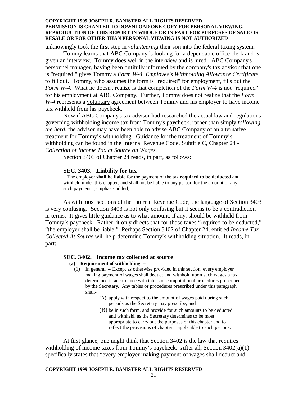unknowingly took the first step in *volunteering* their son into the federal taxing system.

Tommy learns that ABC Company is looking for a dependable office clerk and is given an interview. Tommy does well in the interview and is hired. ABC Company's personnel manager, having been dutifully informed by the company's tax advisor that one is "required," gives Tommy a *Form W-4*, *Employee's Withholding Allowance Certificate* to fill out. Tommy, who assumes the form is "required" for employment, fills out the *Form W-4*. What he doesn't realize is that completion of the *Form W-4* is not "required" for his employment at ABC Company. Further, Tommy does not realize that the *Form W-4* represents a voluntary agreement between Tommy and his employer to have income tax withheld from his paycheck.

Now if ABC Company's tax advisor had researched the actual law and regulations governing withholding income tax from Tommy's paycheck, rather than simply *following the herd*, the advisor may have been able to advise ABC Company of an alternative treatment for Tommy's withholding. Guidance for the treatment of Tommy's withholding can be found in the Internal Revenue Code, Subtitle C, Chapter 24 - *Collection of Income Tax at Source on Wages*.

Section 3403 of Chapter 24 reads, in part, as follows:

## **SEC. 3403. Liability for tax**

 The employer **shall be liable** for the payment of the tax **required to be deducted** and withheld under this chapter, and shall not be liable to any person for the amount of any such payment. (Emphasis added)

As with most sections of the Internal Revenue Code, the language of Section 3403 is very confusing. Section 3403 is not only confusing but it seems to be a contradiction in terms. It gives little guidance as to what amount, if any, should be withheld from Tommy's paycheck. Rather, it only directs that for those taxes "required to be deducted," "the employer shall be liable." Perhaps Section 3402 of Chapter 24, entitled *Income Tax Collected At Source* will help determine Tommy's withholding situation. It reads, in part:

# **SEC. 3402. Income tax collected at source**

#### **(a) Requirement of withholding. –**

- (1) In general. Except as otherwise provided in this section, every employer making payment of wages shall deduct and withhold upon such wages a tax determined in accordance with tables or computational procedures prescribed by the Secretary. Any tables or procedures prescribed under this paragraph shall-
	- (A) apply with respect to the amount of wages paid during such periods as the Secretary may prescribe, and
	- (B) be in such form, and provide for such amounts to be deducted and withheld, as the Secretary determines to be most appropriate to carry out the purposes of this chapter and to reflect the provisions of chapter 1 applicable to such periods.

At first glance, one might think that Section 3402 is the law that requires withholding of income taxes from Tommy's paycheck. After all, Section 3402(a)(1) specifically states that "every employer making payment of wages shall deduct and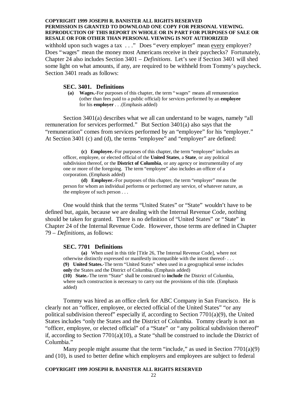**COPYRIGHT 1999 JOSEPH R. BANISTER ALL RIGHTS RESERVED PERMISSION IS GRANTED TO DOWNLOAD ONE COPY FOR PERSONAL VIEWING. REPRODUCTION OF THIS REPORT IN WHOLE OR IN PART FOR PURPOSES OF SALE OR RESALE OR FOR OTHER THAN PERSONAL VIEWING IS NOT AUTHORIZED** withhold upon such wages a tax . . ." Does "every employer" mean every employer? Does "wages" mean the money most Americans receive in their paychecks? Fortunately, Chapter 24 also includes Section 3401 – *Definitions*. Let's see if Section 3401 will shed

some light on what amounts, if any, are required to be withheld from Tommy's paycheck. Section 3401 reads as follows:

# **SEC. 3401. Definitions**

**(a) Wages.-**For purposes of this chapter, the term "wages" means all remuneration (other than fees paid to a public official) for services performed by an **employee** for his **employer** . . .(Emphasis added)

Section 3401(a) describes what we all can understand to be wages, namely "all remuneration for services performed." But Section 3401(a) also says that the "remuneration" comes from services performed by an "employee" for his "employer." At Section 3401 (c) and (d), the terms "employee" and "employer" are defined:

**(c) Employee.-**For purposes of this chapter, the term "employee" includes an officer, employee, or elected official of the **United States**, a **State**, or any political subdivision thereof, or the **District of Columbia**, or any agency or instrumentality of any one or more of the foregoing. The term "employee" also includes an officer of a corporation. (Emphasis added)

**(d) Employer.-**For purposes of this chapter, the term "employer" means the person for whom an individual performs or performed any service, of whatever nature, as the employee of such person . . .

One would think that the terms "United States" or "State" wouldn't have to be defined but, again, because we are dealing with the Internal Revenue Code, nothing should be taken for granted. There is no definition of "United States" or "State" in Chapter 24 of the Internal Revenue Code. However, those terms are defined in Chapter 79 – *Definitions*, as follows:

#### **SEC. 7701 Definitions**

**(a)** When used in this title [Title 26, The Internal Revenue Code], where not otherwise distinctly expressed or manifestly incompatible with the intent thereof- . . . **(9) United States.**-The term "United States" when used in a geographical sense includes **only** the States and the District of Columbia. (Emphasis added) **(10) State.**-The term "State" shall be construed to **include** the District of Columbia, where such construction is necessary to carry out the provisions of this title. (Emphasis

added)

Tommy was hired as an office clerk for ABC Company in San Francisco. He is clearly not an "officer, employee, or elected official of the United States" "or any political subdivision thereof" especially if, according to Section 7701(a)(9), the United States includes "only the States and the District of Columbia. Tommy clearly is not an "officer, employee, or elected official" of a "State" or "any political subdivision thereof" if, according to Section 7701(a)(10), a State "shall be construed to include the District of Columbia."

Many people might assume that the term "include," as used in Section 7701(a)(9) and (10), is used to better define which employers and employees are subject to federal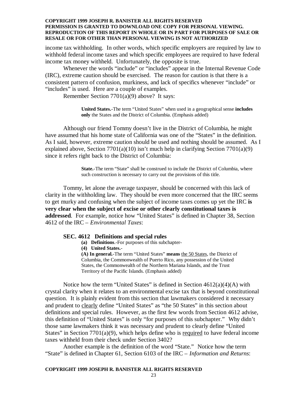income tax withholding. In other words, which specific employers are required by law to withhold federal income taxes and which specific employees are required to have federal income tax money withheld. Unfortunately, the opposite is true.

Whenever the words "include" or "includes" appear in the Internal Revenue Code (IRC), extreme caution should be exercised. The reason for caution is that there is a consistent pattern of confusion, murkiness, and lack of specifics whenever "include" or "includes" is used. Here are a couple of examples.

Remember Section 7701(a)(9) above? It says:

**United States.**-The term "United States" when used in a geographical sense **includes only** the States and the District of Columbia. (Emphasis added)

Although our friend Tommy doesn't live in the District of Columbia, he might have assumed that his home state of California was one of the "States" in the definition. As I said, however, extreme caution should be used and nothing should be assumed. As I explained above, Section 7701(a)(10) isn't much help in clarifying Section 7701(a)(9) since it refers right back to the District of Columbia:

> **State.**-The term "State" shall be construed to include the District of Columbia, where such construction is necessary to carry out the provisions of this title.

Tommy, let alone the average taxpayer, should be concerned with this lack of clarity in the withholding law. They should be even more concerned that the IRC seems to get murky and confusing when the subject of income taxes comes up yet the IRC **is very clear when the subject of excise or other clearly constitutional taxes is addressed**. For example, notice how "United States" is defined in Chapter 38, Section 4612 of the IRC – *Environmental Taxes*:

#### **SEC. 4612 Definitions and special rules**

**(a) Definitions**.-For purposes of this subchapter-

**(4) United States.**-

**(A) In general.**-The term "United States" **means** the 50 States, the District of Columbia, the Commonwealth of Puerto Rico, any possession of the United States, the Commonwealth of the Northern Mariana Islands, and the Trust Territory of the Pacific Islands. (Emphasis added)

Notice how the term "United States" is defined in Section  $4612(a)(4)(A)$  with crystal clarity when it relates to an environmental excise tax that is beyond constitutional question. It is plainly evident from this section that lawmakers considered it necessary and prudent to clearly define "United States" as "the 50 States" in this section about definitions and special rules. However, as the first few words from Section 4612 advise, this definition of "United States" is only "for purposes of this subchapter." Why didn't those same lawmakers think it was necessary and prudent to clearly define "United States" in Section  $7701(a)(9)$ , which helps define who is required to have federal income taxes withheld from their check under Section 3402?

Another example is the definition of the word "State." Notice how the term "State" is defined in Chapter 61, Section 6103 of the IRC – *Information and Returns*: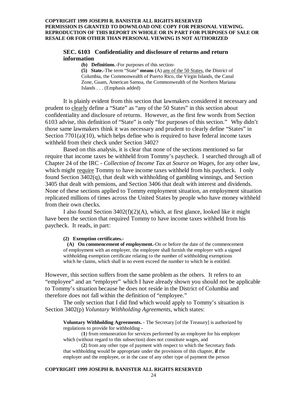# **SEC. 6103 Confidentiality and disclosure of returns and return information**

**(b) Definitions**.-For purposes of this section-

**(5) State.**-The term "State" **means** (A) any of the 50 States, the District of Columbia, the Commonwealth of Puerto Rico, the Virgin Islands, the Canal Zone, Guam, American Samoa, the Commonwealth of the Northern Mariana Islands . . . (Emphasis added)

It is plainly evident from this section that lawmakers considered it necessary and prudent to clearly define a "State" as "any of the 50 States" in this section about confidentiality and disclosure of returns. However, as the first few words from Section 6103 advise, this definition of "State" is only "for purposes of this section." Why didn't those same lawmakers think it was necessary and prudent to clearly define "States" in Section 7701(a)(10), which helps define who is required to have federal income taxes withheld from their check under Section 3402?

Based on this analysis, it is clear that none of the sections mentioned so far require that income taxes be withheld from Tommy's paycheck. I searched through all of Chapter 24 of the IRC - *Collection of Income Tax at Source on Wages*, for any other law, which might require Tommy to have income taxes withheld from his paycheck. I only found Section  $3402(q)$ , that dealt with withholding of gambling winnings, and Section 3405 that dealt with pensions, and Section 3406 that dealt with interest and dividends. None of these sections applied to Tommy employment situation, an employment situation replicated millions of times across the United States by people who have money withheld from their own checks.

I also found Section 3402(f)(2)(A), which, at first glance, looked like it might have been the section that required Tommy to have income taxes withheld from his paycheck. It reads, in part:

#### **(2) Exemption certificates.-**

 **(A) On commencement of employment.**-On or before the date of the commencement of employment with an employer, the employee shall furnish the employer with a signed withholding exemption certificate relating to the number of withholding exemptions which he claims, which shall in no event exceed the number to which he is entitled.

However, this section suffers from the same problem as the others. It refers to an "employee" and an "employer" which I have already shown you should not be applicable to Tommy's situation because he does not reside in the District of Columbia and therefore does not fall within the definition of "employee."

The only section that I did find which would apply to Tommy's situation is Section 3402(p) *Voluntary Withholding Agreements*, which states:

**Voluntary Withholding Agreements.** - The Secretary [of the Treasury] is authorized by regulations to provide for withholding -

(**1**) from remuneration for services performed by an employee for his employer which (without regard to this subsection) does not constitute wages, and

(**2**) from any other type of payment with respect to which the Secretary finds that withholding would be appropriate under the provisions of this chapter, **if** the employer and the employee, or in the case of any other type of payment the person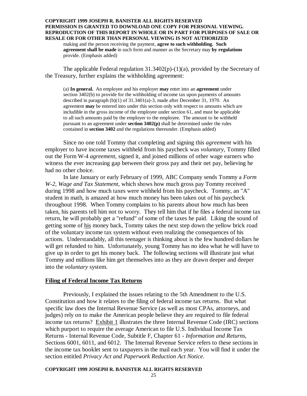making and the person receiving the payment, **agree to such withholding. Such agreement shall be made** in such form and manner as the Secretary may **by regulations** provide. (Emphasis added)

The applicable Federal regulation  $31.3402(p)-(1)(a)$ , provided by the Secretary of the Treasury, further explains the withholding agreement:

(a) **In general.** An employee and his employer **may** enter into an **agreement** under section 3402(b) to provide for the withholding of income tax upon payments of amounts described in paragraph (b)(1) of 31.3401(a)-3, made after December 31, 1970. An agreement **may** be entered into under this section only with respect to amounts which are includible in the gross income of the employee under section 61, and must be applicable to all such amounts paid by the employer to the employee. The amount to be withheld pursuant to an agreement under **section 3402(p)** shall be determined under the rules contained in **section 3402** and the regulations thereunder. (Emphasis added)

Since no one told Tommy that completing and signing this *agreement* with his employer to have income taxes withheld from his paycheck was *voluntary*, Tommy filled out the Form W-4 *agreement*, signed it, and joined millions of other wage earners who witness the ever increasing gap between their gross pay and their net pay, believing he had no other choice.

In late January or early February of 1999, ABC Company sends Tommy a *Form W-2*, *Wage and Tax Statement*, which shows how much gross pay Tommy received during 1998 and how much taxes were withheld from his paycheck. Tommy, an "A" student in math, is amazed at how much money has been taken out of his paycheck throughout 1998. When Tommy complains to his parents about how much has been taken, his parents tell him not to worry. They tell him that if he files a federal income tax return, he will probably get a "refund" of some of the taxes he paid. Liking the sound of getting some of his money back, Tommy takes the next step down the yellow brick road of the voluntary income tax system without even realizing the consequences of his actions. Understandably, all this teenager is thinking about is the few hundred dollars he will get refunded to him. Unfortunately, young Tommy has no idea what he will have to give up in order to get his money back. The following sections will illustrate just what Tommy and millions like him get themselves into as they are drawn deeper and deeper into the *voluntary* system.

## **Filing of Federal Income Tax Returns**

Previously, I explained the issues relating to the 5th Amendment to the U.S. Constitution and how it relates to the filing of federal income tax returns. But what specific law does the Internal Revenue Service (as well as most CPAs, attorneys, and judges) rely on to make the American people believe they are required to file federal income tax returns? Exhibit 1 illustrates the three Internal Revenue Code (IRC) sections which purport to require the average American to file U.S. Individual Income Tax Returns - Internal Revenue Code, Subtitle F, Chapter 61 - *Information and Returns*, Sections 6001, 6011, and 6012. The Internal Revenue Service refers to these sections in the income tax booklet sent to taxpayers in the mail each year. You will find it under the section entitled *Privacy Act and Paperwork Reduction Act Notice*.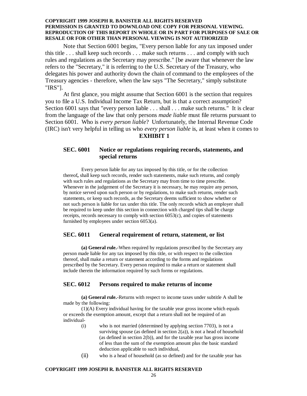Note that Section 6001 begins, "Every person liable for any tax imposed under this title . . . shall keep such records . . . make such returns . . . and comply with such rules and regulations as the Secretary may prescribe." [be aware that whenever the law refers to the "Secretary," it is referring to the U.S. Secretary of the Treasury, who delegates his power and authority down the chain of command to the employees of the Treasury agencies - therefore, when the law says "The Secretary," simply substitute "IRS"].

At first glance, you might assume that Section 6001 is the section that requires you to file a U.S. Individual Income Tax Return, but is that a correct assumption? Section 6001 says that "every person liable . . . shall . . . make such returns." It is clear from the language of the law that only persons *made liable* must file returns pursuant to Section 6001. Who is *every person liable*? Unfortunately, the Internal Revenue Code (IRC) isn't very helpful in telling us who *every person liable* is, at least when it comes to

# **EXHIBIT 1**

# **SEC. 6001 Notice or regulations requiring records, statements, and special returns**

Every person liable for any tax imposed by this title, or for the collection thereof**,** shall keep such records, render such statements, make such returns, and comply with such rules and regulations as the Secretary may from time to time prescribe. Whenever in the judgement of the Secretary it is necessary, he may require any person, by notice served upon such person or by regulations, to make such returns, render such statements, or keep such records, as the Secretary deems sufficient to show whether or not such person is liable for tax under this title. The only records which an employer shall be required to keep under this section in connection with charged tips shall be charge receipts, records necessary to comply with section 6053(c), and copies of statements furnished by employees under section 6053(a).

# **SEC. 6011 General requirement of return, statement, or list**

**(a) General rule.**-When required by regulations prescribed by the Secretary any person made liable for any tax imposed by this title, or with respect to the collection thereof, shall make a return or statement according to the forms and regulations prescribed by the Secretary. Every person required to make a return or statement shall include therein the information required by such forms or regulations.

# **SEC. 6012 Persons required to make returns of income**

**(a) General rule.**-Returns with respect to income taxes under subtitle A shall be made by the following:

(1)(A) Every individual having for the taxable year gross income which equals or exceeds the exemption amount, except that a return shall not be required of an individual-

- (i) who is not married (determined by applying section 7703), is not a surviving spouse (as defined in section  $2(a)$ ), is not a head of household (as defined in section  $2(b)$ ), and for the taxable year has gross income of less than the sum of the exemption amount plus the basic standard deduction applicable to such individual,
- (ii) who is a head of household (as so defined) and for the taxable year has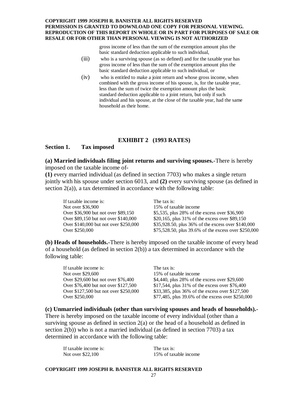gross income of less than the sum of the exemption amount plus the basic standard deduction applicable to such individual,

- (iii) who is a surviving spouse (as so defined) and for the taxable year has gross income of less than the sum of the exemption amount plus the basic standard deduction applicable to such individual, or
- (iv) who is entitled to make a joint return and whose gross income, when combined with the gross income of his spouse, is, for the taxable year, less than the sum of twice the exemption amount plus the basic standard deduction applicable to a joint return, but only if such individual and his spouse, at the close of the taxable year, had the same household as their home.

# **EXHIBIT 2 (1993 RATES)**

# **Section 1. Tax imposed**

**(a) Married individuals filing joint returns and surviving spouses.**-There is hereby imposed on the taxable income of-

**(1)** every married individual (as defined in section 7703) who makes a single return jointly with his spouse under section 6013, and **(2)** every surviving spouse (as defined in section  $2(a)$ ), a tax determined in accordance with the following table:

If taxable income is: The tax is: Not over \$36,900 15% of taxable income

Over \$36,900 but not over \$89,150 \$5,535, plus 28% of the excess over \$36,900 Over \$89,150 but not over \$140,000 \$20,165, plus 31% of the excess over \$89,150 Over \$140,000 but not over \$250,000 \$35,928.50, plus 36% of the excess over \$140,000 Over \$250,000 \$75,528.50, plus 39.6% of the excess over \$250,000

**(b) Heads of households.**-There is hereby imposed on the taxable income of every head of a household (as defined in section  $2(b)$ ) a tax determined in accordance with the following table:

| If taxable income is:                 | The tax is:                                       |
|---------------------------------------|---------------------------------------------------|
| Not over \$29,600                     | 15% of taxable income                             |
| Over \$29,600 but not over \$76,400   | \$4,440, plus 28% of the excess over \$29,600     |
| Over \$76,400 but not over \$127,500  | \$17,544, plus 31% of the excess over \$76,400    |
| Over \$127,500 but not over \$250,000 | \$33,385, plus 36% of the excess over \$127,500   |
| Over \$250,000                        | \$77,485, plus 39.6% of the excess over \$250,000 |
|                                       |                                                   |

**(c) Unmarried individuals (other than surviving spouses and heads of households).**- There is hereby imposed on the taxable income of every individual (other than a surviving spouse as defined in section  $2(a)$  or the head of a household as defined in section 2(b)) who is not a married individual (as defined in section 7703) a tax determined in accordance with the following table:

| If taxable income is: | The tax is:           |
|-----------------------|-----------------------|
| Not over \$22,100     | 15% of taxable income |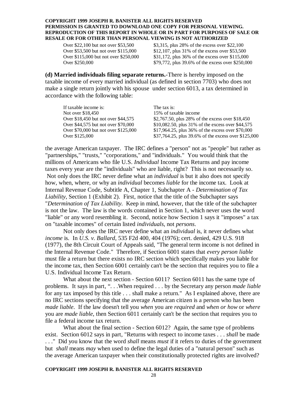Over \$22,100 but not over \$53,500 \$3,315, plus 28% of the excess over \$22,100 Over \$53,500 but not over \$115,000 \$12,107, plus 31% of the excess over \$53,500 Over \$115,000 but not over \$250,000 \$31,172, plus 36% of the excess over \$115,000 Over \$250,000 \$79,772, plus 39.6% of the excess over \$250,000

**(d) Married individuals filing separate returns.**-There is hereby imposed on the taxable income of every married individual (as defined in section 7703) who does not make a single return jointly with his spouse under section 6013, a tax determined in accordance with the following table:

| If taxable income is:                | The tax is:                                          |
|--------------------------------------|------------------------------------------------------|
| Not over \$18,450                    | 15% of taxable income                                |
| Over \$18,450 but not over \$44,575  | \$2,767.50, plus 28% of the excess over \$18,450     |
| Over \$44,575 but not over \$70,000  | \$10,082.50, plus 31% of the excess over \$44,575    |
| Over \$70,000 but not over \$125,000 | \$17,964.25, plus 36% of the excess over \$70,000    |
| Over \$125,000                       | \$37,764.25, plus 39.6% of the excess over \$125,000 |

the average American taxpayer. The IRC defines a "person" not as "people" but rather as "partnerships," "trusts," "corporations," and "individuals." You would think that the millions of Americans who file U.S. *Individual* Income Tax Returns and pay income taxes every year are the "individuals" who are liable, right? This is not necessarily so. Not only does the IRC never define what an *individual* is but it also does not specify how, when, where, or why an *individual* becomes *liable* for the income tax. Look at Internal Revenue Code, Subtitle A, Chapter 1, Subchapter A - *Determination of Tax Liability*, Section 1 (Exhibit 2). First, notice that the title of the Subchapter says "*Determination of Tax Liability*. Keep in mind, however, that the title of the subchapter is not the law. The law is the words contained in Section 1, which never uses the word "liable" or any word resembling it. Second, notice how Section 1 says it "imposes" a tax on "taxable incomes" of certain listed *individuals*, not *persons*.

Not only does the IRC never define what an *individual* is, it never defines what *income* is. In *U.S. v. Ballard*, 535 F2d 400, 404 (1976); cert. denied, 429 U.S. 918 (1977), the 8th Circuit Court of Appeals said, "The general term income is not defined in the Internal Revenue Code." Therefore, if Section 6001 states that *every person liable* must file a return but there exists no IRC section which specifically makes you liable for the income tax, then Section 6001 certainly can't be the section that requires you to file a U.S. Individual Income Tax Return.

What about the next section - Section 6011? Section 6011 has the same type of problems. It says in part, ". . .When required . . . by the Secretary any person *made liable* for any tax imposed by this title . . . shall make a return." As I explained above, there are no IRC sections specifying that the average American citizen is a person who has been *made liable*. If the law doesn't tell you *when* you are *required* and *when or how* or *where* you are *made liable*, then Section 6011 certainly can't be the section that requires you to file a federal income tax return.

What about the final section - Section 6012? Again, the same type of problems exist. Section 6012 says in part, "Returns with respect to income taxes . . . *shall* be made . . ." Did you know that the word *shall* means *must* if it refers to duties of the government but *shall* means *may* when used to define the legal duties of a "natural person" such as the average American taxpayer when their constitutionally protected rights are involved?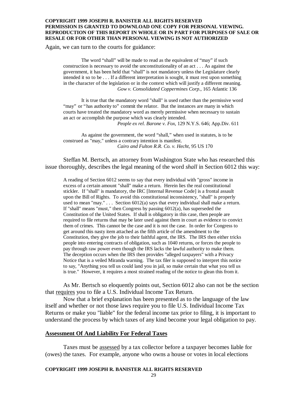Again, we can turn to the courts for guidance:

The word "shall" will be made to read as the equivalent of "may" if such construction is necessary to avoid the unconstitutionality of an act . . . As against the government, it has been held that "shall" is not mandatory unless the Legislature clearly intended it so to be . . . If a different interpretation is sought, it must rest upon something in the character of the legislation or in the context which will justify a different meaning. *Gow v. Consolidated Coppermines Corp.*, 165 Atlantic 136

It is true that the mandatory word "shall" is used rather than the permissive word "may" or "has authority to" commit the relator. But the instances are many in which courts have treated the mandatory word as merely permissive when necessary to sustain an act or accomplish the purpose which was clearly intended.

*People ex rel. Barone v. Fox*, 129 N.Y.S. 646; App.Div. 611

As against the government, the word "shall," when used in statutes, is to be construed as "may," unless a contrary intention is manifest. *Cairo and Fulton R.R. Co. v. Hecht*, 95 US 170

Steffan M. Bertsch, an attorney from Washington State who has researched this issue thoroughly, describes the legal meaning of the word *shall* in Section 6012 this way:

A reading of Section 6012 seems to say that every individual with "gross" income in excess of a certain amount "shall" make a return. Herein lies the real constitutional stickler. If "shall" is mandatory, the IRC [Internal Revenue Code] is a frontal assault upon the Bill of Rights. To avoid this constitutional inconsistency, "shall" is properly used to mean "may."  $\ldots$  Section 6012(a) says that every individual shall make a return. If "shall" means "must," then Congress by passing 6012(a), has superseded the Constitution of the United States. If shall is obligatory in this case, then people are required to file returns that may be later used against them in court as evidence to convict them of crimes. This cannot be the case and it is not the case. In order for Congress to get around this nasty item attached as the fifth article of the amendment to the Constitution, they give the job to their faithful agent, the IRS. The IRS then either tricks people into entering contracts of obligation, such as 1040 returns, or forces the people to pay through raw power even though the IRS lacks the lawful authority to make them. The deception occurs when the IRS then provides "alleged taxpayers" with a Privacy Notice that is a veiled Miranda warning. The tax filer is supposed to interpret this notice to say, "Anything you tell us could land you in jail, so make certain that what you tell us is true." However, it requires a most strained reading of the notice to glean this from it.

As Mr. Bertsch so eloquently points out, Section 6012 also can not be the section that requires you to file a U.S. Individual Income Tax Return.

Now that a brief explanation has been presented as to the language of the law itself and whether or not those laws require you to file U.S. Individual Income Tax Returns or make you "liable" for the federal income tax prior to filing, it is important to understand the process by which taxes of any kind become your legal obligation to pay.

#### **Assessment Of And Liability For Federal Taxes**

Taxes must be assessed by a tax collector before a taxpayer becomes liable for (owes) the taxes. For example, anyone who owns a house or votes in local elections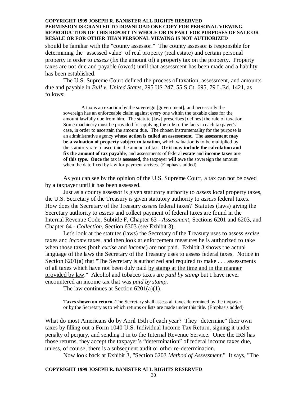should be familiar with the "county assessor." The county assessor is responsible for determining the "assessed value" of real property (real estate) and certain personal property in order to *assess* (fix the amount of) a property tax on the property. Property taxes are not due and payable (owed) until that assessment has been made and a liability has been established.

The U.S. Supreme Court defined the process of taxation, assessment, and amounts due and payable in *Bull v. United States*, 295 US 247, 55 S.Ct. 695, 79 L.Ed. 1421, as follows:

A tax is an exaction by the sovereign [government], and necessarily the sovereign has an enforceable claim against every one within the taxable class for the amount lawfully due from him. The statute [law] prescribes [defines] the rule of taxation. Some machinery must be provided for applying the rule to the facts in each taxpayer's case, in order to ascertain the amount due. The chosen instrumentality for the purpose is an administrative agency **whose action is called an assessment**. The **assessment may be a valuation of property subject to taxation**, which valuation is to be multiplied by the statutory rate to ascertain the amount of tax. **Or it may include the calculation and fix the amount of tax payable**, and assessments of federal **estate** and **income taxes are of this type**. **Once** the tax is **assessed**, the taxpayer **will owe** the sovereign the amount when the date fixed by law for payment arrives. (Emphasis added)

As you can see by the opinion of the U.S. Supreme Court, a tax can not be owed by a taxpayer until it has been assessed.

Just as a county assessor is given statutory authority to *assess* local property taxes, the U.S. Secretary of the Treasury is given statutory authority to *assess* federal taxes. How does the Secretary of the Treasury *assess* federal taxes? Statutes (laws) giving the Secretary authority to *assess* and collect payment of federal taxes are found in the Internal Revenue Code, Subtitle F, Chapter 63 - *Assessment*, Sections 6201 and 6203, and Chapter 64 - *Collection*, Section 6303 (see Exhibit 3).

Let's look at the statutes (laws) the Secretary of the Treasury uses to assess *excise* taxes and *income* taxes, and then look at enforcement measures he is authorized to take when those taxes (both *excise* and *income*) are not paid. Exhibit 3 shows the actual language of the laws the Secretary of the Treasury uses to assess federal taxes. Notice in Section 6201(a) that "The Secretary is authorized and required to make . . . assessments of all taxes which have not been duly paid by stamp at the time and in the manner provided by law." Alcohol and tobacco taxes are *paid by stamp* but I have never encountered an income tax that was *paid by stamp*.

The law continues at Section 6201(a)(1),

**Taxes shown on return.**-The Secretary shall assess all taxes determined by the taxpayer or by the Secretary as to which returns or lists are made under this title. (Emphasis added)

What do most Americans do by April 15th of each year? They "determine" their own taxes by filling out a Form 1040 U.S. Individual Income Tax Return, signing it under penalty of perjury, and sending it in to the Internal Revenue Service. Once the IRS has those returns, they accept the taxpayer's "determination" of federal income taxes due, unless, of course, there is a subsequent audit or other re-determination.

Now look back at Exhibit 3, "Section 6203 *Method of Assessment*." It says, "The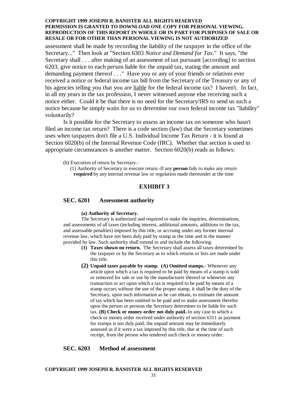assessment shall be made by recording the liability of the taxpayer in the office of the Secretary..." Then look at "Section 6303 *Notice and Demand for Tax.*" It says, "the Secretary shall . . . after making of an assessment of tax pursuant [according] to section 6203, give notice to each person liable for the unpaid tax, stating the amount and demanding payment thereof . . ." Have you or any of your friends or relatives ever received a notice or federal income tax bill from the Secretary of the Treasury or any of his agencies telling you that you are liable for the federal income tax? I haven't. In fact, in all my years in the tax profession, I never witnessed anyone else receiving such a notice either. Could it be that there is no need for the Secretary/IRS to send us such a notice because he simply waits for us to determine our own federal income tax "liability" voluntarily?

Is it possible for the Secretary to *assess* an income tax on someone who hasn't filed an income tax return? There is a code section (law) that the Secretary sometimes uses when taxpayers don't file a U.S. Individual Income Tax Return - it is found at Section 6020(b) of the Internal Revenue Code (IRC). Whether that section is used in appropriate circumstances is another matter. Section 6020(b) reads as follows:

(b) Execution of return by Secretary.-

(1) Authority of Secretary to execute return.-If any **person** fails to make any return **required** by any internal revenue law or regulation made thereunder at the time

# **EXHIBIT 3**

## **SEC. 6201 Assessment authority**

#### **(a) Authority of Secretary.**

The Secretary is authorized and required to make the inquiries, determinations, and assessments of all taxes (including interest, additional amounts, additions to the tax, and assessable penalties) imposed by this title, or accruing under any former internal revenue law, which have not been duly paid by stamp at the time and in the manner provided by law. Such authority shall extend to and include the following:

- **(1) Taxes shown on return.** The Secretary shall assess all taxes determined by the taxpayer or by the Secretary as to which returns or lists are made under this title.
- **(2) Unpaid taxes payable by stamp. (A) Omitted stamps.** Whenever any article upon which a tax is required to be paid by means of a stamp is sold or removed for sale or use by the manufacturer thereof or whenever any transaction or act upon which a tax is required to be paid by means of a stamp occurs without the use of the proper stamp, it shall be the duty of the Secretary, upon such information as he can obtain, to estimate the amount of tax which has been omitted to be paid and to make assessment therefor upon the person or persons the Secretary determines to be liable for such tax. **(B) Check or money order not duly paid.**-In any case in which a check or money order received under authority of section 6311 as payment for stamps is not duly paid, the unpaid amount may be immediately assessed as if it were a tax imposed by this title, due at the time of such receipt, from the person who tendered such check or money order.

# **SEC. 6203 Method of assessment**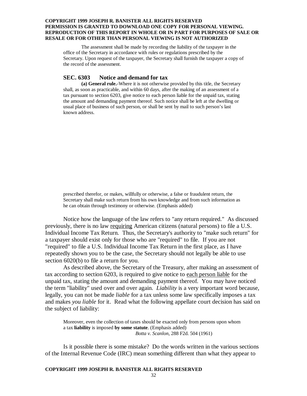The assessment shall be made by recording the liability of the taxpayer in the office of the Secretary in accordance with rules or regulations prescribed by the Secretary. Upon request of the taxpayer, the Secretary shall furnish the taxpayer a copy of the record of the assessment.

# **SEC. 6303 Notice and demand for tax**

**(a) General rule.**-Where it is not otherwise provided by this title, the Secretary shall, as soon as practicable, and within 60 days, after the making of an assessment of a tax pursuant to section 6203, give notice to each person liable for the unpaid tax, stating the amount and demanding payment thereof. Such notice shall be left at the dwelling or usual place of business of such person, or shall be sent by mail to such person's last known address.

prescribed therefor, or makes, willfully or otherwise, a false or fraudulent return, the Secretary shall make such return from his own knowledge and from such information as he can obtain through testimony or otherwise. (Emphasis added)

Notice how the language of the law refers to "any return required." As discussed previously, there is no law requiring American citizens (natural persons) to file a U.S. Individual Income Tax Return. Thus, the Secretary's authority to "make such return" for a taxpayer should exist only for those who are "required" to file. If you are not "required" to file a U.S. Individual Income Tax Return in the first place, as I have repeatedly shown you to be the case, the Secretary should not legally be able to use section 6020(b) to file a return for you.

As described above, the Secretary of the Treasury, after making an assessment of tax according to section 6203, is required to give notice to each person liable for the unpaid tax, stating the amount and demanding payment thereof. You may have noticed the term "liability" used over and over again. *Liability* is a very important word because, legally, you can not be made *liable* for a tax unless some law specifically imposes a tax and makes *you liable* for it. Read what the following appellate court decision has said on the subject of liability:

Moreover, even the collection of taxes should be exacted only from persons upon whom a tax **liability** is imposed **by some statute**. (Emphasis added) *Botta v. Scanlon*, 288 F2d. 504 (1961)

Is it possible there is some mistake? Do the words written in the various sections of the Internal Revenue Code (IRC) mean something different than what they appear to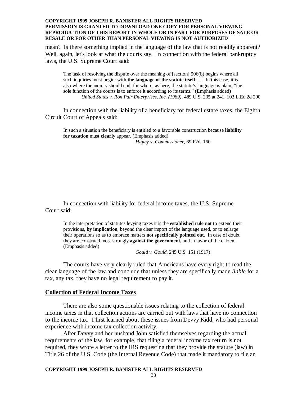mean? Is there something implied in the language of the law that is not readily apparent? Well, again, let's look at what the courts say. In connection with the federal bankruptcy laws, the U.S. Supreme Court said:

The task of resolving the dispute over the meaning of [section] 506(b) begins where all such inquiries must begin: with **the language of the statute itself** . . . In this case, it is also where the inquiry should end, for where, as here, the statute's language is plain, "the sole function of the courts is to enforce it according to its terms." (Emphasis added) *United States v. Ron Pair Enterprises, Inc. (1989)*, 489 U.S. 235 at 241, 103 L.Ed.2d 290

In connection with the liability of a beneficiary for federal estate taxes, the Eighth Circuit Court of Appeals said:

In such a situation the beneficiary is entitled to a favorable construction because **liability for taxation** must **clearly** appear. (Emphasis added) *Higley v. Commissioner*, 69 F2d. 160

In connection with liability for federal income taxes, the U.S. Supreme Court said:

In the interpretation of statutes levying taxes it is the **established rule not** to extend their provisions, **by implication**, beyond the clear import of the language used, or to enlarge their operations so as to embrace matters **not specifically pointed out**. In case of doubt they are construed most strongly **against the government,** and in favor of the citizen. (Emphasis added)

*Gould v. Gould*, 245 U.S. 151 (1917)

The courts have very clearly ruled that Americans have every right to read the clear language of the law and conclude that unless they are specifically made *liable* for a tax, any tax, they have no legal requirement to pay it.

### **Collection of Federal Income Taxes**

There are also some questionable issues relating to the collection of federal income taxes in that collection actions are carried out with laws that have no connection to the income tax. I first learned about these issues from Devvy Kidd, who had personal experience with income tax collection activity.

After Devvy and her husband John satisfied themselves regarding the actual requirements of the law, for example, that filing a federal income tax return is not required, they wrote a letter to the IRS requesting that they provide the statute (law) in Title 26 of the U.S. Code (the Internal Revenue Code) that made it mandatory to file an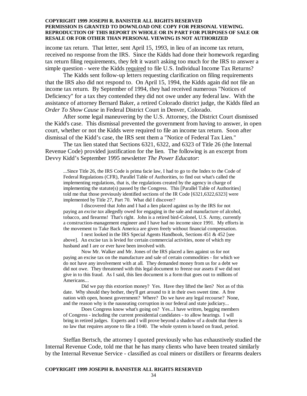income tax return. That letter, sent April 15, 1993, in lieu of an income tax return, received no response from the IRS. Since the Kidds had done their homework regarding tax return filing requirements, they felt it wasn't asking too much for the IRS to answer a simple question - were the Kidds required to file U.S. Individual Income Tax Returns?

The Kidds sent follow-up letters requesting clarification on filing requirements that the IRS also did not respond to. On April 15, 1994, the Kidds again did not file an income tax return. By September of 1994, they had received numerous "Notices of Deficiency" for a tax they contended they did not owe under any federal law. With the assistance of attorney Bernard Baker, a retired Colorado district judge, the Kidds filed an *Order To Show Cause* in Federal District Court in Denver, Colorado.

After some legal maneuvering by the U.S. Attorney, the District Court dismissed the Kidd's case. This dismissal prevented the government from having to answer, in open court, whether or not the Kidds were required to file an income tax return. Soon after dismissal of the Kidd's case, the IRS sent them a "Notice of Federal Tax Lien."

The tax lien stated that Sections 6321, 6322, and 6323 of Title 26 (the Internal Revenue Code) provided justification for the lien. The following is an excerpt from Devvy Kidd's September 1995 newsletter *The Power Educator*:

...Since Title 26, the IRS Code is prima facie law, I had to go to the Index to the Code of Federal Regulations (CFR), Parallel Table of Authorities, to find out what's called the implementing regulations, that is, the regulations created by the agency in charge of implementing the statute(s) passed by the Congress. This [Parallel Table of Authorities] told me that those previously identified sections of the IR Code [6321,6322,6323] were implemented by Title 27, Part 70. What did I discover?

I discovered that John and I had a lien placed against us by the IRS for not paying an *excise tax* allegedly owed for engaging in the sale and manufacture of alcohol, tobacco, and firearms! That's right. John is a retired bird-Colonel, U.S. Army, currently a construction-management engineer and I have had no income since 1991. My efforts in the movement to Take Back America are given freely without financial compensation.

I next looked in the IRS Special Agents Handbook, Sections 451 & 452 [see above]. An excise tax is levied for certain commercial activities, none of which my husband and I are or ever have been involved with.

Now Mr. Walker and Mr. Jones of the IRS placed a lien against us for not paying an excise tax on the manufacture and sale of certain commodities - for which we do not have any involvement with at all. They demanded money from us for a debt we did not owe. They threatened with this legal document to freeze our assets if we did not give in to this fraud. As I said, this lien document is a form that goes out to millions of Americans...

Did we pay this extortion money? Yes. Have they lifted the lien? Not as of this date. Why should they bother, they'll get around to it in their own sweet time. A free nation with open, honest government? Where? Do we have any legal recourse? None, and the reason why is the nauseating corruption in our federal and state judiciary...

Does Congress know what's going on? Yes...I have written, begging members of Congress - including the current presidential candidates - to allow hearings. I will bring in retired judges. Experts and I will prove beyond a shadow of a doubt that there is no law that requires anyone to file a 1040. The whole system is based on fraud, period.

Steffan Bertsch, the attorney I quoted previously who has exhaustively studied the Internal Revenue Code, told me that he has many clients who have been treated similarly by the Internal Revenue Service - classified as coal miners or distillers or firearms dealers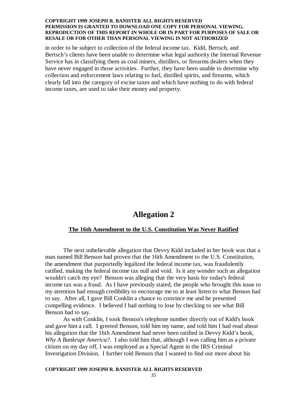in order to be subject to collection of the federal income tax. Kidd, Bertsch, and Bertsch's clients have been unable to determine what legal authority the Internal Revenue Service has in classifying them as coal miners, distillers, or firearms dealers when they have never engaged in those activities. Further, they have been unable to determine why collection and enforcement laws relating to fuel, distilled spirits, and firearms, which clearly fall into the category of excise taxes and which have nothing to do with federal income taxes, are used to take their money and property.

# **Allegation 2**

# **The 16th Amendment to the U.S. Constitution Was Never Ratified**

The next unbelievable allegation that Devvy Kidd included in her book was that a man named Bill Benson had proven that the 16th Amendment to the U.S. Constitution, the amendment that purportedly legalized the federal income tax, was fraudulently ratified, making the federal income tax null and void. Is it any wonder such an allegation wouldn't catch my eye? Benson was alleging that the very basis for today's federal income tax was a fraud. As I have previously stated, the people who brought this issue to my attention had enough credibility to encourage me to at least listen to what Benson had to say. After all, I gave Bill Conklin a chance to convince me and he presented compelling evidence. I believed I had nothing to lose by checking to see what Bill Benson had to say.

As with Conklin, I took Benson's telephone number directly out of Kidd's book and gave him a call. I greeted Benson, told him my name, and told him I had read about his allegation that the 16th Amendment had never been ratified in Devvy Kidd's book, *Why A Bankrupt America?*. I also told him that, although I was calling him as a private citizen on my day off, I was employed as a Special Agent in the IRS Criminal Investigation Division. I further told Benson that I wanted to find out more about his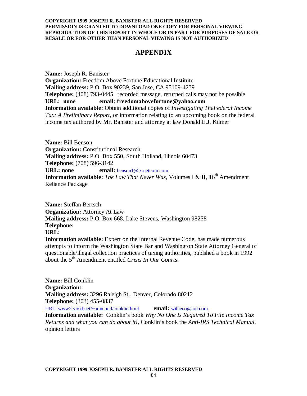# **APPENDIX**

**Name:** Joseph R. Banister **Organization:** Freedom Above Fortune Educational Institute **Mailing address:** P.O. Box 90239, San Jose, CA 95109-4239 **Telephone:** (408) 793-0445 recorded message, returned calls may not be possible **URL: none email: freedomabovefortune@yahoo.com Information available:** Obtain additional copies of *Investigating TheFederal Income Tax: A Preliminary Report*, or information relating to an upcoming book on the federal income tax authored by Mr. Banister and attorney at law Donald E.J. Kilmer

**Name:** Bill Benson **Organization:** Constitutional Research **Mailing address:** P.O. Box 550, South Holland, Illinois 60473 **Telephone:** (708) 596-3142 **URL: none email:** benson1@ix.netcom.com **Information available:** *The Law That Never Was*, Volumes I & II, 16<sup>th</sup> Amendment Reliance Package

**Name:** Steffan Bertsch **Organization:** Attorney At Law **Mailing address:** P.O. Box 668, Lake Stevens, Washington 98258 **Telephone: URL: Information available:** Expert on the Internal Revenue Code, has made numerous attempts to inform the Washington State Bar and Washington State Attorney General of questionable/illegal collection practices of taxing authorities, publshed a book in 1992 about the 5th Amendment entitled *Crisis In Our Courts*.

**Name:** Bill Conklin **Organization: Mailing address:** 3296 Raleigh St., Denver, Colorado 80212 **Telephone:** (303) 455-0837 URL: www2.vivid.net/~ammond/conklin.html **email:** willieco@aol.com **Information available:** Conklin's book *Why No One Is Required To File Income Tax Returns and what you can do about it!*, Conklin's book the *Anti-IRS Technical Manual,* opinion letters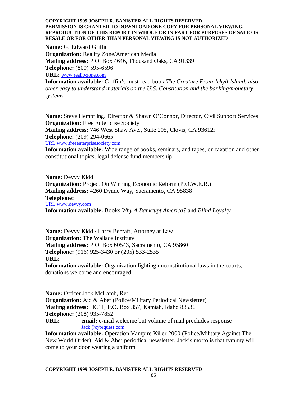**Name:** G. Edward Griffin **Organization:** Reality Zone/American Media **Mailing address:** P.O. Box 4646, Thousand Oaks, CA 91339 **Telephone:** (800) 595-6596

**URL:** www.realityzone.com

**Information available:** Griffin's must read book *The Creature From Jekyll Island, also other easy to understand materials on the U.S. Constitution and the banking/monetary systems*

**Name:** Steve Hempfling, Director & Shawn O'Connor, Director, Civil Support Services **Organization:** Free Enterprise Society

**Mailing address:** 746 West Shaw Ave., Suite 205, Clovis, CA 93612r **Telephone:** (209) 294-0665

URL:www.freeenterprisesociety.com

**Information available:** Wide range of books, seminars, and tapes, on taxation and other constitutional topics, legal defense fund membership

**Name:** Devvy Kidd **Organization:** Project On Winning Economic Reform (P.O.W.E.R.) **Mailing address:** 4260 Dymic Way, Sacramento, CA 95838 **Telephone:** URL:www.devvy.com **Information available:** Books *Why A Bankrupt America?* and *Blind Loyalty*

**Name:** Devvy Kidd / Larry Becraft, Attorney at Law **Organization:** The Wallace Institute **Mailing address:** P.O. Box 60543, Sacramento, CA 95860 **Telephone:** (916) 925-3430 or (205) 533-2535 **URL: Information available:** Organization fighting unconstitutional laws in the courts; donations welcome and encouraged

**Name:** Officer Jack McLamb, Ret. **Organization:** Aid & Abet (Police/Military Periodical Newsletter) **Mailing address:** HC11, P.O. Box 357, Kamiah, Idaho 83536 **Telephone:** (208) 935-7852 **URL: email:** e-mail welcome but volume of mail precludes response Jack@cybrquest.com

**Information available:** Operation Vampire Killer 2000 (Police/Military Against The New World Order); Aid & Abet periodical newsletter, Jack's motto is that tyranny will come to your door wearing a uniform.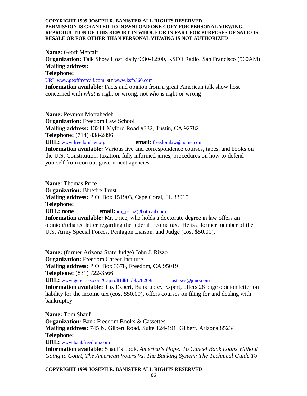**Name:** Geoff Metcalf **Organization:** Talk Show Host, daily 9:30-12:00, KSFO Radio, San Francisco (560AM) **Mailing address:**

**Telephone:**

URL:www.geoffmetcalf.com **or** www.ksfo560.com

**Information available:** Facts and opinion from a great American talk show host concerned with *what* is right or wrong, not *who* is right or wrong

**Name:** Peymon Mottahedeh **Organization:** Freedom Law School **Mailing address:** 13211 Myford Road #332, Tustin, CA 92782 **Telephone:** (714) 838-2896 **URL:** www.freedomlaw.org **email:** freedomlaw@home.com

**Information available:** Various live and correspondence courses, tapes, and books on the U.S. Constitution, taxation, fully informed juries, procedures on how to defend yourself from corrupt government agencies

**Name:** Thomas Price **Organization:** Bluefire Trust **Mailing address:** P.O. Box 151903, Cape Coral, FL 33915 **Telephone: URL: none email:**pro\_per52@hotmail.com **Information available:** Mr. Price, who holds a doctorate degree in law offers an opinion/reliance letter regarding the federal income tax. He is a former member of the U.S. Army Special Forces, Pentagon Liaison, and Judge (cost \$50.00).

**Name:** (former Arizona State Judge) John J. Rizzo **Organization:** Freedom Career Institute **Mailing address:** P.O. Box 3378, Freedom, CA 95019 **Telephone:** (831) 722-3566 URL: www.geocities.com/CapitolHill/Lobby/8269/ ustaxes@juno.com

**Information available:** Tax Expert, Bankruptcy Expert, offers 28 page opinion letter on liability for the income tax (cost \$50.00), offers courses on filing for and dealing with bankruptcy.

**Name:** Tom Shauf **Organization:** Bank Freedom Books & Cassettes **Mailing address:** 745 N. Gilbert Road, Suite 124-191, Gilbert, Arizona 85234 **Telephone: URL:** www.bankfreedom.com

**Information available:** Shauf's book, *America's Hope: To Cancel Bank Loans Without Going to Court, The American Voters Vs. The Banking System: The Technical Guide To*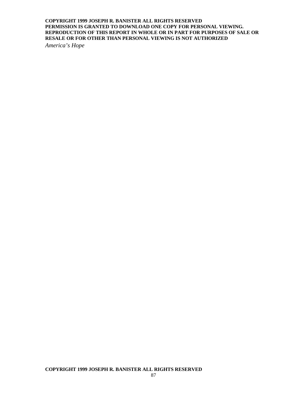*America's Hope*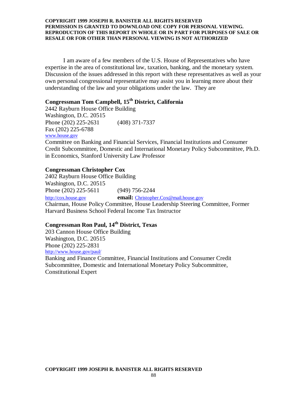I am aware of a few members of the U.S. House of Representatives who have expertise in the area of constitutional law, taxation, banking, and the monetary system. Discussion of the issues addressed in this report with these representatives as well as your own personal congressional representative may assist you in learning more about their understanding of the law and your obligations under the law. They are

# **Congressman Tom Campbell, 15th District, California**

2442 Rayburn House Office Building Washington, D.C. 20515 Phone (202) 225-2631 (408) 371-7337 Fax (202) 225-6788 www.house.gov

Committee on Banking and Financial Services, Financial Institutions and Consumer Credit Subcommittee, Domestic and International Monetary Policy Subcommittee, Ph.D. in Economics, Stanford University Law Professor

# **Congressman Christopher Cox**

2402 Rayburn House Office Building Washington, D.C. 20515 Phone (202) 225-5611 (949) 756-2244 http://cox.house.gov **email:** Christopher.Cox@mail.house.gov Chairman, House Policy Committee, House Leadership Steering Committee, Former Harvard Business School Federal Income Tax Instructor

# **Congressman Ron Paul, 14th District, Texas**

203 Cannon House Office Building Washington, D.C. 20515 Phone (202) 225-2831 http://www.house.gov/paul/ Banking and Finance Committee, Financial Institutions and Consumer Credit Subcommittee, Domestic and International Monetary Policy Subcommittee, Constitutional Expert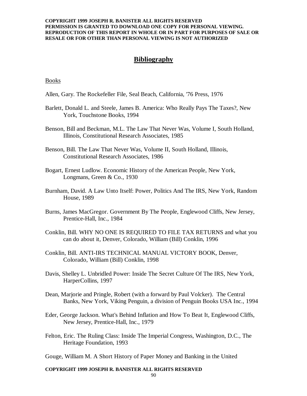# **Bibliography**

#### Books

Allen, Gary. The Rockefeller File, Seal Beach, California, '76 Press, 1976

- Barlett, Donald L. and Steele, James B. America: Who Really Pays The Taxes?, New York, Touchstone Books, 1994
- Benson, Bill and Beckman, M.L. The Law That Never Was, Volume I, South Holland, Illinois, Constitutional Research Associates, 1985
- Benson, Bill. The Law That Never Was, Volume II, South Holland, Illinois, Constitutional Research Associates, 1986
- Bogart, Ernest Ludlow. Economic History of the American People, New York, Longmans, Green & Co., 1930
- Burnham, David. A Law Unto Itself: Power, Politics And The IRS, New York, Random House, 1989
- Burns, James MacGregor. Government By The People, Englewood Cliffs, New Jersey, Prentice-Hall, Inc., 1984
- Conklin, Bill. WHY NO ONE IS REQUIRED TO FILE TAX RETURNS and what you can do about it, Denver, Colorado, William (Bill) Conklin, 1996
- Conklin, Bill. ANTI-IRS TECHNICAL MANUAL VICTORY BOOK, Denver, Colorado, William (Bill) Conklin, 1998
- Davis, Shelley L. Unbridled Power: Inside The Secret Culture Of The IRS, New York, HarperCollins, 1997
- Dean, Marjorie and Pringle, Robert (with a forward by Paul Volcker). The Central Banks, New York, Viking Penguin, a division of Penguin Books USA Inc., 1994
- Eder, George Jackson. What's Behind Inflation and How To Beat It, Englewood Cliffs, New Jersey, Prentice-Hall, Inc., 1979
- Felton, Eric. The Ruling Class: Inside The Imperial Congress, Washington, D.C., The Heritage Foundation, 1993
- Gouge, William M. A Short History of Paper Money and Banking in the United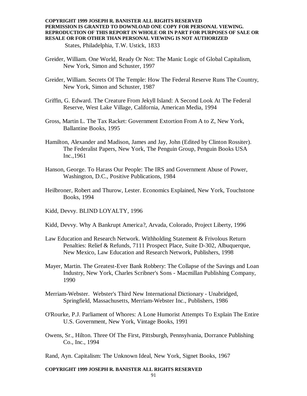States, Philadelphia, T.W. Ustick, 1833

- Greider, William. One World, Ready Or Not: The Manic Logic of Global Capitalism, New York, Simon and Schuster, 1997
- Greider, William. Secrets Of The Temple: How The Federal Reserve Runs The Country, New York, Simon and Schuster, 1987
- Griffin, G. Edward. The Creature From Jekyll Island: A Second Look At The Federal Reserve, West Lake Village, California, American Media, 1994
- Gross, Martin L. The Tax Racket: Government Extortion From A to Z, New York, Ballantine Books, 1995
- Hamilton, Alexander and Madison, James and Jay, John (Edited by Clinton Rossiter). The Federalist Papers, New York, The Penguin Group, Penguin Books USA Inc.,1961
- Hanson, George. To Harass Our People: The IRS and Government Abuse of Power, Washington, D.C., Positive Publications, 1984
- Heilbroner, Robert and Thurow, Lester. Economics Explained, New York, Touchstone Books, 1994
- Kidd, Devvy. BLIND LOYALTY, 1996
- Kidd, Devvy. Why A Bankrupt America?, Arvada, Colorado, Project Liberty, 1996
- Law Education and Research Network. Withholding Statement & Frivolous Return Penalties: Relief & Refunds, 7111 Prospect Place, Suite D-302, Albuquerque, New Mexico, Law Education and Research Network, Publishers, 1998
- Mayer, Martin. The Greatest-Ever Bank Robbery: The Collapse of the Savings and Loan Industry, New York, Charles Scribner's Sons - Macmillan Publishing Company, 1990
- Merriam-Webster. Webster's Third New International Dictionary Unabridged, Springfield, Massachusetts, Merriam-Webster Inc., Publishers, 1986
- O'Rourke, P.J. Parliament of Whores: A Lone Humorist Attempts To Explain The Entire U.S. Government, New York, Vintage Books, 1991
- Owens, Sr., Hilton. Three Of The First, Pittsburgh, Pennsylvania, Dorrance Publishing Co., Inc., 1994
- Rand, Ayn. Capitalism: The Unknown Ideal, New York, Signet Books, 1967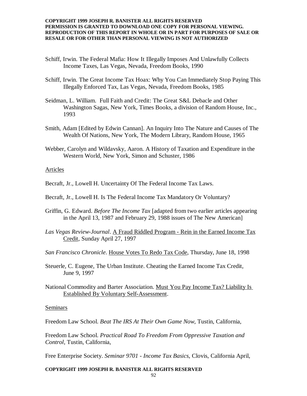- Schiff, Irwin. The Federal Mafia: How It Illegally Imposes And Unlawfully Collects Income Taxes, Las Vegas, Nevada, Freedom Books, 1990
- Schiff, Irwin. The Great Income Tax Hoax: Why You Can Immediately Stop Paying This Illegally Enforced Tax, Las Vegas, Nevada, Freedom Books, 1985
- Seidman, L. William. Full Faith and Credit: The Great S&L Debacle and Other Washington Sagas, New York, Times Books, a division of Random House, Inc., 1993
- Smith, Adam [Edited by Edwin Cannan]. An Inquiry Into The Nature and Causes of The Wealth Of Nations, New York, The Modern Library, Random House, 1965
- Webber, Carolyn and Wildavsky, Aaron. A History of Taxation and Expenditure in the Western World, New York, Simon and Schuster, 1986

# Articles

- Becraft, Jr., Lowell H. Uncertainty Of The Federal Income Tax Laws.
- Becraft, Jr., Lowell H. Is The Federal Income Tax Mandatory Or Voluntary?
- Griffin, G. Edward. *Before The Income Tax* [adapted from two earlier articles appearing in the April 13, 1987 and February 29, 1988 issues of The New American]
- *Las Vegas Review-Journal*. A Fraud Riddled Program Rein in the Earned Income Tax Credit, Sunday April 27, 1997
- *San Francisco Chronicle*. House Votes To Redo Tax Code, Thursday, June 18, 1998
- Steuerle, C. Eugene, The Urban Institute. Cheating the Earned Income Tax Credit, June 9, 1997
- National Commodity and Barter Association. Must You Pay Income Tax? Liability Is Established By Voluntary Self-Assessment.

# Seminars

Freedom Law School. *Beat The IRS At Their Own Game Now*, Tustin, California,

Freedom Law School. *Practical Road To Freedom From Oppressive Taxation and Control*, Tustin, California,

Free Enterprise Society. *Seminar 9701 - Income Tax Basics*, Clovis, California April,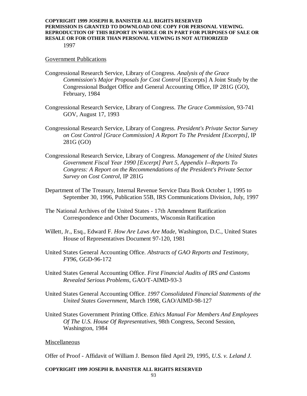# Government Publications

- Congressional Research Service, Library of Congress. *Analysis of the Grace Commission's Major Proposals for Cost Control* [Excerpts] A Joint Study by the Congressional Budget Office and General Accounting Office, IP 281G (GO), February, 1984
- Congressional Research Service, Library of Congress. *The Grace Commission*, 93-741 GOV, August 17, 1993
- Congressional Research Service, Library of Congress. *President's Private Sector Survey on Cost Control [Grace Commission] A Report To The President [Excerpts]*, IP 281G (GO)
- Congressional Research Service, Library of Congress. *Management of the United States Government Fiscal Year 1990 [Excerpt] Part 5, Appendix I--Reports To Congress: A Report on the Recommendations of the President's Private Sector Survey on Cost Control*, IP 281G
- Department of The Treasury, Internal Revenue Service Data Book October 1, 1995 to September 30, 1996, Publication 55B, IRS Communications Division, July, 1997
- The National Archives of the United States 17th Amendment Ratification Correspondence and Other Documents, Wisconsin Ratification
- Willett, Jr., Esq., Edward F. *How Are Laws Are Made*, Washington, D.C., United States House of Representatives Document 97-120, 1981
- United States General Accounting Office. *Abstracts of GAO Reports and Testimony, FY96*, GGD-96-172
- United States General Accounting Office. *First Financial Audits of IRS and Customs Revealed Serious Problems*, GAO/T-AIMD-93-3
- United States General Accounting Office. *1997 Consolidated Financial Statements of the United States Government*, March 1998, GAO/AIMD-98-127
- United States Government Printing Office. *Ethics Manual For Members And Employees Of The U.S. House Of Representatives*, 98th Congress, Second Session, Washington, 1984

# Miscellaneous

Offer of Proof - Affidavit of William J. Benson filed April 29, 1995, *U.S. v. Leland J.*